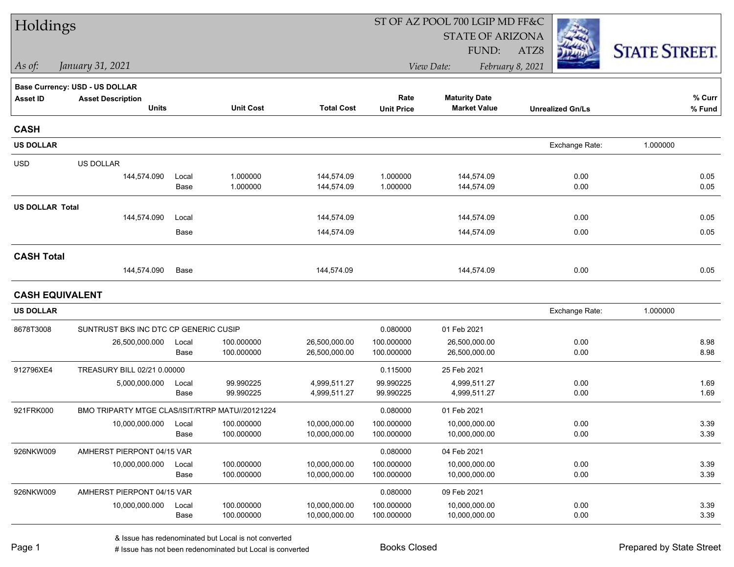| Holdings               |                                                 |       |                  |                   |                   |                         |                         |                      |
|------------------------|-------------------------------------------------|-------|------------------|-------------------|-------------------|-------------------------|-------------------------|----------------------|
|                        |                                                 |       |                  |                   |                   | <b>STATE OF ARIZONA</b> |                         |                      |
|                        |                                                 |       |                  |                   |                   | FUND:                   | ATZ8                    | <b>STATE STREET.</b> |
| $\vert$ As of:         | January 31, 2021                                |       |                  |                   |                   | View Date:              | February 8, 2021        |                      |
|                        | <b>Base Currency: USD - US DOLLAR</b>           |       |                  |                   |                   |                         |                         |                      |
| <b>Asset ID</b>        | <b>Asset Description</b>                        |       |                  |                   | Rate              | <b>Maturity Date</b>    |                         | % Curr               |
|                        | <b>Units</b>                                    |       | <b>Unit Cost</b> | <b>Total Cost</b> | <b>Unit Price</b> | <b>Market Value</b>     | <b>Unrealized Gn/Ls</b> | % Fund               |
| <b>CASH</b>            |                                                 |       |                  |                   |                   |                         |                         |                      |
| <b>US DOLLAR</b>       |                                                 |       |                  |                   |                   |                         | Exchange Rate:          | 1.000000             |
| <b>USD</b>             | US DOLLAR                                       |       |                  |                   |                   |                         |                         |                      |
|                        | 144,574.090                                     | Local | 1.000000         | 144,574.09        | 1.000000          | 144,574.09              | 0.00                    | 0.05                 |
|                        |                                                 | Base  | 1.000000         | 144,574.09        | 1.000000          | 144,574.09              | 0.00                    | 0.05                 |
| <b>US DOLLAR Total</b> |                                                 |       |                  |                   |                   |                         |                         |                      |
|                        | 144,574.090                                     | Local |                  | 144,574.09        |                   | 144,574.09              | 0.00                    | 0.05                 |
|                        |                                                 | Base  |                  | 144,574.09        |                   | 144,574.09              | 0.00                    | 0.05                 |
| <b>CASH Total</b>      |                                                 |       |                  |                   |                   |                         |                         |                      |
|                        | 144,574.090                                     | Base  |                  | 144,574.09        |                   | 144,574.09              | 0.00                    | 0.05                 |
| <b>CASH EQUIVALENT</b> |                                                 |       |                  |                   |                   |                         |                         |                      |
| <b>US DOLLAR</b>       |                                                 |       |                  |                   |                   |                         | Exchange Rate:          | 1.000000             |
| 8678T3008              | SUNTRUST BKS INC DTC CP GENERIC CUSIP           |       |                  |                   | 0.080000          | 01 Feb 2021             |                         |                      |
|                        | 26,500,000.000                                  | Local | 100.000000       | 26,500,000.00     | 100.000000        | 26,500,000.00           | 0.00                    | 8.98                 |
|                        |                                                 | Base  | 100.000000       | 26,500,000.00     | 100.000000        | 26,500,000.00           | 0.00                    | 8.98                 |
| 912796XE4              | TREASURY BILL 02/21 0.00000                     |       |                  |                   | 0.115000          | 25 Feb 2021             |                         |                      |
|                        | 5,000,000.000                                   | Local | 99.990225        | 4,999,511.27      | 99.990225         | 4,999,511.27            | 0.00                    | 1.69                 |
|                        |                                                 | Base  | 99.990225        | 4,999,511.27      | 99.990225         | 4,999,511.27            | 0.00                    | 1.69                 |
| 921FRK000              | BMO TRIPARTY MTGE CLAS/ISIT/RTRP MATU//20121224 |       |                  |                   | 0.080000          | 01 Feb 2021             |                         |                      |
|                        | 10,000,000.000                                  | Local | 100.000000       | 10,000,000.00     | 100.000000        | 10,000,000.00           | 0.00                    | 3.39                 |
|                        |                                                 | Base  | 100.000000       | 10,000,000.00     | 100.000000        | 10,000,000.00           | 0.00                    | 3.39                 |
| 926NKW009              | AMHERST PIERPONT 04/15 VAR                      |       |                  |                   | 0.080000          | 04 Feb 2021             |                         |                      |
|                        | 10,000,000.000                                  | Local | 100.000000       | 10,000,000.00     | 100.000000        | 10,000,000.00           | 0.00                    | 3.39                 |
|                        |                                                 | Base  | 100.000000       | 10,000,000.00     | 100.000000        | 10,000,000.00           | 0.00                    | 3.39                 |
| 926NKW009              | AMHERST PIERPONT 04/15 VAR                      |       |                  |                   | 0.080000          | 09 Feb 2021             |                         |                      |
|                        | 10,000,000.000                                  | Local | 100.000000       | 10,000,000.00     | 100.000000        | 10,000,000.00           | 0.00                    | 3.39                 |
|                        |                                                 | Base  | 100.000000       | 10,000,000.00     | 100.000000        | 10,000,000.00           | 0.00                    | 3.39                 |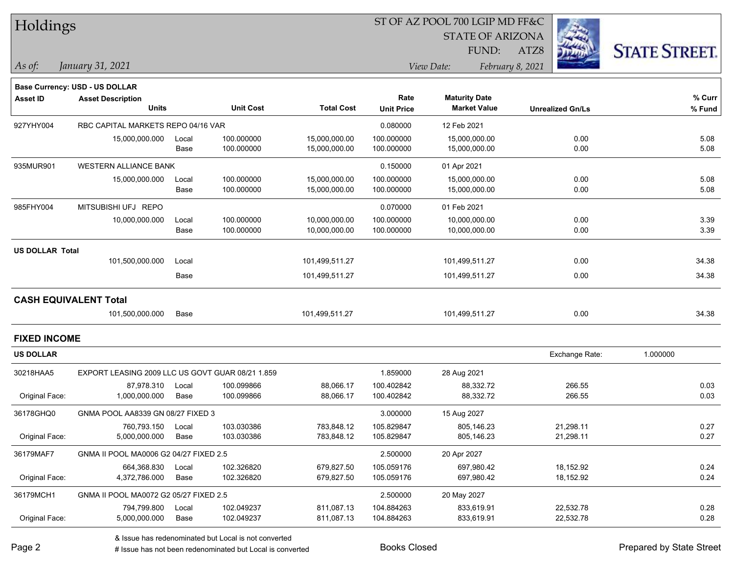| <b>Holdings</b> |  |
|-----------------|--|
|-----------------|--|

STATE OF ARIZONA

ATZ8



**% Fund**

**% Curr**

*January 31, 2021 As of: View Date: February 8, 2021*

**Base Currency: USD - US DOLLAR**

FUND:

| <b>Asset ID</b>        | <b>Asset Description</b>           |       |                  |                   | Rate              | <b>Maturity Date</b> |                         | % Cur |
|------------------------|------------------------------------|-------|------------------|-------------------|-------------------|----------------------|-------------------------|-------|
|                        | <b>Units</b>                       |       | <b>Unit Cost</b> | <b>Total Cost</b> | <b>Unit Price</b> | <b>Market Value</b>  | <b>Unrealized Gn/Ls</b> | % Fun |
| 927YHY004              | RBC CAPITAL MARKETS REPO 04/16 VAR |       |                  |                   | 0.080000          | 12 Feb 2021          |                         |       |
|                        | 15,000,000.000                     | Local | 100.000000       | 15,000,000.00     | 100.000000        | 15,000,000.00        | 0.00                    | 5.08  |
|                        |                                    | Base  | 100.000000       | 15,000,000.00     | 100.000000        | 15,000,000.00        | 0.00                    | 5.08  |
| 935MUR901              | <b>WESTERN ALLIANCE BANK</b>       |       |                  |                   | 0.150000          | 01 Apr 2021          |                         |       |
|                        | 15,000,000.000                     | Local | 100.000000       | 15,000,000.00     | 100.000000        | 15,000,000.00        | 0.00                    | 5.08  |
|                        |                                    | Base  | 100.000000       | 15,000,000.00     | 100.000000        | 15,000,000.00        | 0.00                    | 5.08  |
| 985FHY004              | MITSUBISHI UFJ REPO                |       |                  |                   | 0.070000          | 01 Feb 2021          |                         |       |
|                        | 10,000,000.000                     | Local | 100.000000       | 10,000,000.00     | 100.000000        | 10,000,000.00        | 0.00                    | 3.39  |
|                        |                                    | Base  | 100.000000       | 10,000,000.00     | 100.000000        | 10,000,000.00        | 0.00                    | 3.39  |
| <b>US DOLLAR Total</b> |                                    |       |                  |                   |                   |                      |                         |       |
|                        | 101,500,000.000                    | Local |                  | 101,499,511.27    |                   | 101,499,511.27       | 0.00                    | 34.38 |
|                        |                                    | Base  |                  | 101,499,511.27    |                   | 101,499,511.27       | 0.00                    | 34.38 |

**CASH EQUI** 

| 101,500,000.000<br>101,499,511.27<br>0.00<br>101,499,511.27<br>Base | <b>IVALENT Total</b> |  |  |       |
|---------------------------------------------------------------------|----------------------|--|--|-------|
|                                                                     |                      |  |  | 34.38 |

**FIXED INCOME**

| <b>US DOLLAR</b> |                                                  |       |            |            |             |             | Exchange Rate: | 1.000000 |
|------------------|--------------------------------------------------|-------|------------|------------|-------------|-------------|----------------|----------|
| 30218HAA5        | EXPORT LEASING 2009 LLC US GOVT GUAR 08/21 1.859 |       |            |            | 1.859000    | 28 Aug 2021 |                |          |
|                  | 87.978.310                                       | Local | 100.099866 | 88.066.17  | 100.402842  | 88,332.72   | 266.55         | 0.03     |
| Original Face:   | 1.000.000.000                                    | Base  | 100.099866 | 88.066.17  | 100.402842  | 88,332.72   | 266.55         | 0.03     |
| 36178GHQ0        | GNMA POOL AA8339 GN 08/27 FIXED 3                |       |            |            | 3.000000    | 15 Aug 2027 |                |          |
|                  | 760.793.150                                      | Local | 103.030386 | 783.848.12 | 105.829847  | 805.146.23  | 21,298.11      | 0.27     |
| Original Face:   | 5,000,000.000                                    | Base  | 103.030386 | 783.848.12 | 105.829847  | 805.146.23  | 21,298.11      | 0.27     |
| 36179MAF7        | GNMA II POOL MA0006 G2 04/27 FIXED 2.5           |       |            | 2.500000   | 20 Apr 2027 |             |                |          |
|                  | 664.368.830                                      | Local | 102.326820 | 679.827.50 | 105.059176  | 697,980.42  | 18,152.92      | 0.24     |
| Original Face:   | 4,372,786.000                                    | Base  | 102.326820 | 679,827.50 | 105.059176  | 697,980.42  | 18,152.92      | 0.24     |
| 36179MCH1        | GNMA II POOL MA0072 G2 05/27 FIXED 2.5           |       |            |            | 2.500000    | 20 May 2027 |                |          |
|                  | 794.799.800                                      | Local | 102.049237 | 811.087.13 | 104.884263  | 833.619.91  | 22,532.78      | 0.28     |
| Original Face:   | 5,000,000.000                                    | Base  | 102.049237 | 811,087.13 | 104.884263  | 833,619.91  | 22,532.78      | 0.28     |

& Issue has redenominated but Local is not converted

Page 2

# Issue has not been redenominated but Local is converted Books Closed Prepared by State Street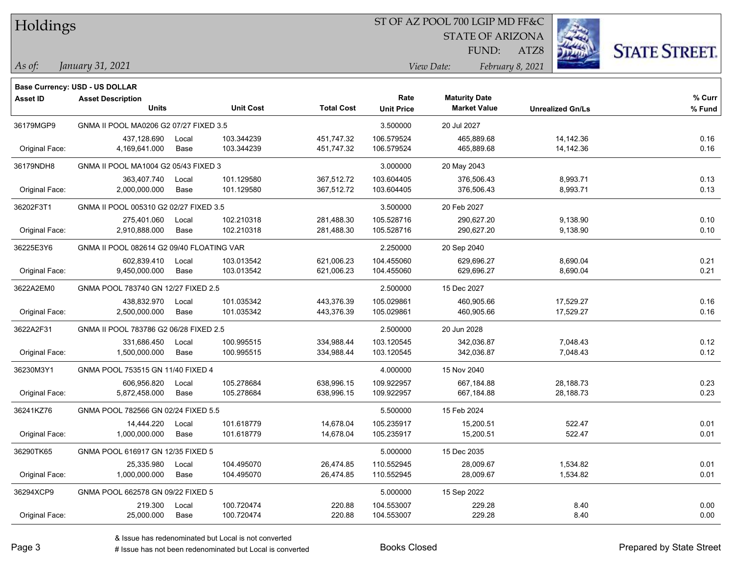| Holdings |
|----------|
|          |

STATE OF ARIZONA

ATZ8



FUND:

#### *January 31, 2021 As of: View Date: February 8, 2021*

|                 | <b>Base Currency: USD - US DOLLAR</b>     |       |                  |                   |                      |                     |                         |        |
|-----------------|-------------------------------------------|-------|------------------|-------------------|----------------------|---------------------|-------------------------|--------|
| <b>Asset ID</b> | <b>Asset Description</b>                  |       |                  | Rate              | <b>Maturity Date</b> |                     | % Curr                  |        |
|                 | <b>Units</b>                              |       | <b>Unit Cost</b> | <b>Total Cost</b> | <b>Unit Price</b>    | <b>Market Value</b> | <b>Unrealized Gn/Ls</b> | % Fund |
| 36179MGP9       | GNMA II POOL MA0206 G2 07/27 FIXED 3.5    |       |                  |                   | 3.500000             | 20 Jul 2027         |                         |        |
|                 | 437,128.690                               | Local | 103.344239       | 451,747.32        | 106.579524           | 465,889.68          | 14,142.36               | 0.16   |
| Original Face:  | 4,169,641.000                             | Base  | 103.344239       | 451,747.32        | 106.579524           | 465,889.68          | 14,142.36               | 0.16   |
| 36179NDH8       | GNMA II POOL MA1004 G2 05/43 FIXED 3      |       |                  |                   | 3.000000             | 20 May 2043         |                         |        |
|                 | 363,407.740                               | Local | 101.129580       | 367,512.72        | 103.604405           | 376,506.43          | 8,993.71                | 0.13   |
| Original Face:  | 2,000,000.000                             | Base  | 101.129580       | 367,512.72        | 103.604405           | 376,506.43          | 8,993.71                | 0.13   |
| 36202F3T1       | GNMA II POOL 005310 G2 02/27 FIXED 3.5    |       |                  |                   | 3.500000             | 20 Feb 2027         |                         |        |
|                 | 275,401.060                               | Local | 102.210318       | 281,488.30        | 105.528716           | 290,627.20          | 9,138.90                | 0.10   |
| Original Face:  | 2,910,888.000                             | Base  | 102.210318       | 281,488.30        | 105.528716           | 290,627.20          | 9,138.90                | 0.10   |
| 36225E3Y6       | GNMA II POOL 082614 G2 09/40 FLOATING VAR |       |                  |                   | 2.250000             | 20 Sep 2040         |                         |        |
|                 | 602,839.410                               | Local | 103.013542       | 621,006.23        | 104.455060           | 629,696.27          | 8,690.04                | 0.21   |
| Original Face:  | 9,450,000.000                             | Base  | 103.013542       | 621,006.23        | 104.455060           | 629,696.27          | 8,690.04                | 0.21   |
| 3622A2EM0       | GNMA POOL 783740 GN 12/27 FIXED 2.5       |       |                  |                   | 2.500000             | 15 Dec 2027         |                         |        |
|                 | 438,832.970                               | Local | 101.035342       | 443,376.39        | 105.029861           | 460,905.66          | 17,529.27               | 0.16   |
| Original Face:  | 2,500,000.000                             | Base  | 101.035342       | 443,376.39        | 105.029861           | 460,905.66          | 17,529.27               | 0.16   |
| 3622A2F31       | GNMA II POOL 783786 G2 06/28 FIXED 2.5    |       |                  |                   | 2.500000             | 20 Jun 2028         |                         |        |
|                 | 331,686.450                               | Local | 100.995515       | 334,988.44        | 103.120545           | 342,036.87          | 7,048.43                | 0.12   |
| Original Face:  | 1,500,000.000                             | Base  | 100.995515       | 334,988.44        | 103.120545           | 342,036.87          | 7,048.43                | 0.12   |
| 36230M3Y1       | GNMA POOL 753515 GN 11/40 FIXED 4         |       |                  |                   | 4.000000             | 15 Nov 2040         |                         |        |
|                 | 606,956.820                               | Local | 105.278684       | 638,996.15        | 109.922957           | 667,184.88          | 28,188.73               | 0.23   |
| Original Face:  | 5,872,458.000                             | Base  | 105.278684       | 638,996.15        | 109.922957           | 667,184.88          | 28,188.73               | 0.23   |
| 36241KZ76       | GNMA POOL 782566 GN 02/24 FIXED 5.5       |       |                  |                   | 5.500000             | 15 Feb 2024         |                         |        |
|                 | 14,444.220                                | Local | 101.618779       | 14,678.04         | 105.235917           | 15,200.51           | 522.47                  | 0.01   |
| Original Face:  | 1,000,000.000                             | Base  | 101.618779       | 14,678.04         | 105.235917           | 15,200.51           | 522.47                  | 0.01   |
| 36290TK65       | GNMA POOL 616917 GN 12/35 FIXED 5         |       |                  |                   | 5.000000             | 15 Dec 2035         |                         |        |
|                 | 25,335.980                                | Local | 104.495070       | 26,474.85         | 110.552945           | 28,009.67           | 1,534.82                | 0.01   |
| Original Face:  | 1,000,000.000                             | Base  | 104.495070       | 26,474.85         | 110.552945           | 28,009.67           | 1,534.82                | 0.01   |
| 36294XCP9       | GNMA POOL 662578 GN 09/22 FIXED 5         |       |                  |                   | 5.000000             | 15 Sep 2022         |                         |        |
|                 | 219.300                                   | Local | 100.720474       | 220.88            | 104.553007           | 229.28              | 8.40                    | 0.00   |
| Original Face:  | 25,000.000                                | Base  | 100.720474       | 220.88            | 104.553007           | 229.28              | 8.40                    | 0.00   |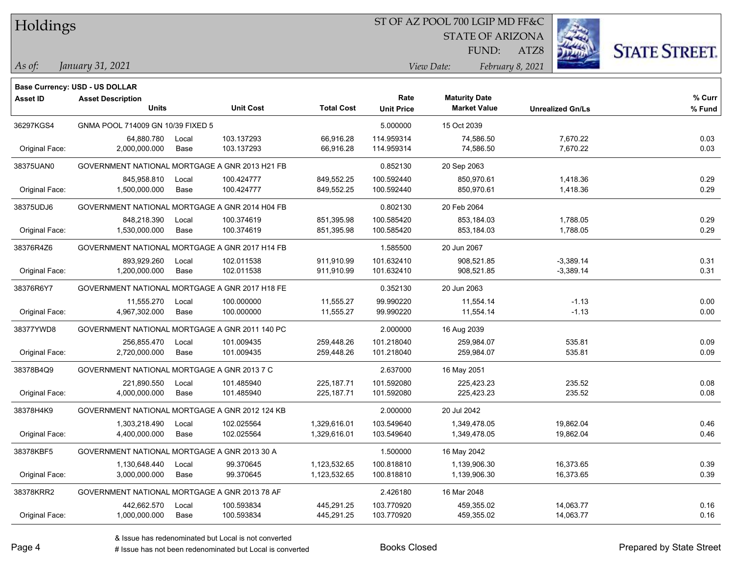#### ST OF AZ POOL 700 LGIP MD FF&C

STATE OF ARIZONA

FUND:

ATZ8



#### *January 31, 2021 As of: View Date: February 8, 2021*

|                | <b>Base Currency: USD - US DOLLAR</b>          |       |                  |                   |                   |                      |                         |        |
|----------------|------------------------------------------------|-------|------------------|-------------------|-------------------|----------------------|-------------------------|--------|
| Asset ID       | <b>Asset Description</b>                       |       |                  |                   | Rate              | <b>Maturity Date</b> |                         | % Curr |
|                | <b>Units</b>                                   |       | <b>Unit Cost</b> | <b>Total Cost</b> | <b>Unit Price</b> | <b>Market Value</b>  | <b>Unrealized Gn/Ls</b> | % Fund |
| 36297KGS4      | GNMA POOL 714009 GN 10/39 FIXED 5              |       |                  |                   | 5.000000          | 15 Oct 2039          |                         |        |
|                | 64,880.780                                     | Local | 103.137293       | 66,916.28         | 114.959314        | 74,586.50            | 7,670.22                | 0.03   |
| Original Face: | 2,000,000.000                                  | Base  | 103.137293       | 66,916.28         | 114.959314        | 74,586.50            | 7,670.22                | 0.03   |
| 38375UAN0      | GOVERNMENT NATIONAL MORTGAGE A GNR 2013 H21 FB |       |                  |                   | 0.852130          | 20 Sep 2063          |                         |        |
|                | 845,958.810                                    | Local | 100.424777       | 849,552.25        | 100.592440        | 850,970.61           | 1,418.36                | 0.29   |
| Original Face: | 1,500,000.000                                  | Base  | 100.424777       | 849,552.25        | 100.592440        | 850,970.61           | 1,418.36                | 0.29   |
| 38375UDJ6      | GOVERNMENT NATIONAL MORTGAGE A GNR 2014 H04 FB |       |                  |                   | 0.802130          | 20 Feb 2064          |                         |        |
|                | 848,218.390                                    | Local | 100.374619       | 851,395.98        | 100.585420        | 853,184.03           | 1,788.05                | 0.29   |
| Original Face: | 1,530,000.000                                  | Base  | 100.374619       | 851,395.98        | 100.585420        | 853,184.03           | 1,788.05                | 0.29   |
| 38376R4Z6      | GOVERNMENT NATIONAL MORTGAGE A GNR 2017 H14 FB |       |                  |                   | 1.585500          | 20 Jun 2067          |                         |        |
|                | 893,929.260                                    | Local | 102.011538       | 911,910.99        | 101.632410        | 908,521.85           | $-3,389.14$             | 0.31   |
| Original Face: | 1,200,000.000                                  | Base  | 102.011538       | 911,910.99        | 101.632410        | 908,521.85           | $-3,389.14$             | 0.31   |
| 38376R6Y7      | GOVERNMENT NATIONAL MORTGAGE A GNR 2017 H18 FE |       |                  |                   | 0.352130          | 20 Jun 2063          |                         |        |
|                | 11,555.270                                     | Local | 100.000000       | 11,555.27         | 99.990220         | 11,554.14            | $-1.13$                 | 0.00   |
| Original Face: | 4,967,302.000                                  | Base  | 100.000000       | 11,555.27         | 99.990220         | 11,554.14            | $-1.13$                 | 0.00   |
| 38377YWD8      | GOVERNMENT NATIONAL MORTGAGE A GNR 2011 140 PC |       |                  |                   | 2.000000          | 16 Aug 2039          |                         |        |
|                | 256,855.470                                    | Local | 101.009435       | 259,448.26        | 101.218040        | 259,984.07           | 535.81                  | 0.09   |
| Original Face: | 2,720,000.000                                  | Base  | 101.009435       | 259,448.26        | 101.218040        | 259,984.07           | 535.81                  | 0.09   |
| 38378B4Q9      | GOVERNMENT NATIONAL MORTGAGE A GNR 2013 7 C    |       |                  |                   | 2.637000          | 16 May 2051          |                         |        |
|                | 221,890.550                                    | Local | 101.485940       | 225, 187.71       | 101.592080        | 225,423.23           | 235.52                  | 0.08   |
| Original Face: | 4,000,000.000                                  | Base  | 101.485940       | 225, 187.71       | 101.592080        | 225,423.23           | 235.52                  | 0.08   |
| 38378H4K9      | GOVERNMENT NATIONAL MORTGAGE A GNR 2012 124 KB |       |                  |                   | 2.000000          | 20 Jul 2042          |                         |        |
|                | 1,303,218.490                                  | Local | 102.025564       | 1,329,616.01      | 103.549640        | 1,349,478.05         | 19,862.04               | 0.46   |
| Original Face: | 4,400,000.000                                  | Base  | 102.025564       | 1,329,616.01      | 103.549640        | 1,349,478.05         | 19,862.04               | 0.46   |
| 38378KBF5      | GOVERNMENT NATIONAL MORTGAGE A GNR 2013 30 A   |       |                  |                   | 1.500000          | 16 May 2042          |                         |        |
|                | 1,130,648.440                                  | Local | 99.370645        | 1,123,532.65      | 100.818810        | 1,139,906.30         | 16,373.65               | 0.39   |
| Original Face: | 3,000,000.000                                  | Base  | 99.370645        | 1,123,532.65      | 100.818810        | 1,139,906.30         | 16,373.65               | 0.39   |
| 38378KRR2      | GOVERNMENT NATIONAL MORTGAGE A GNR 2013 78 AF  |       |                  |                   | 2.426180          | 16 Mar 2048          |                         |        |
|                | 442,662.570                                    | Local | 100.593834       | 445,291.25        | 103.770920        | 459,355.02           | 14,063.77               | 0.16   |
| Original Face: | 1,000,000.000                                  | Base  | 100.593834       | 445,291.25        | 103.770920        | 459,355.02           | 14,063.77               | 0.16   |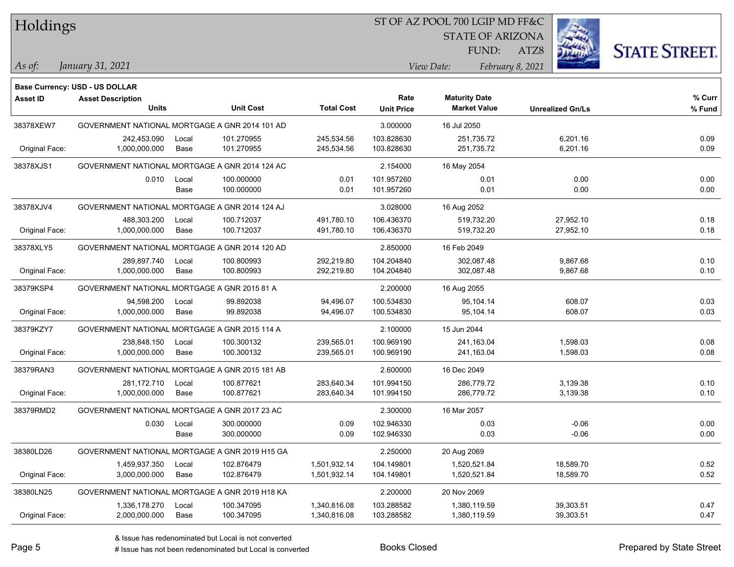#### ST OF AZ POOL 700 LGIP MD FF&C

STATE OF ARIZONA

ATZ8



*January 31, 2021 As of: View Date: February 8, 2021*

**Base Currency: USD - US DOLLAR**

FUND:

| Asset ID       | <b>Asset Description</b>                       |       |                  |                   | Rate              | <b>Maturity Date</b> |                         | % Curr |
|----------------|------------------------------------------------|-------|------------------|-------------------|-------------------|----------------------|-------------------------|--------|
|                | <b>Units</b>                                   |       | <b>Unit Cost</b> | <b>Total Cost</b> | <b>Unit Price</b> | <b>Market Value</b>  | <b>Unrealized Gn/Ls</b> | % Fund |
| 38378XEW7      | GOVERNMENT NATIONAL MORTGAGE A GNR 2014 101 AD |       |                  |                   | 3.000000          | 16 Jul 2050          |                         |        |
|                | 242,453.090                                    | Local | 101.270955       | 245,534.56        | 103.828630        | 251,735.72           | 6,201.16                | 0.09   |
| Original Face: | 1,000,000.000                                  | Base  | 101.270955       | 245,534.56        | 103.828630        | 251,735.72           | 6,201.16                | 0.09   |
| 38378XJS1      | GOVERNMENT NATIONAL MORTGAGE A GNR 2014 124 AC |       |                  |                   | 2.154000          | 16 May 2054          |                         |        |
|                | 0.010                                          | Local | 100.000000       | 0.01              | 101.957260        | 0.01                 | 0.00                    | 0.00   |
|                |                                                | Base  | 100.000000       | 0.01              | 101.957260        | 0.01                 | 0.00                    | 0.00   |
| 38378XJV4      | GOVERNMENT NATIONAL MORTGAGE A GNR 2014 124 AJ |       |                  |                   | 3.028000          | 16 Aug 2052          |                         |        |
|                | 488,303.200                                    | Local | 100.712037       | 491,780.10        | 106.436370        | 519,732.20           | 27,952.10               | 0.18   |
| Original Face: | 1,000,000.000                                  | Base  | 100.712037       | 491,780.10        | 106.436370        | 519,732.20           | 27,952.10               | 0.18   |
| 38378XLY5      | GOVERNMENT NATIONAL MORTGAGE A GNR 2014 120 AD |       |                  |                   | 2.850000          | 16 Feb 2049          |                         |        |
|                | 289,897.740                                    | Local | 100.800993       | 292,219.80        | 104.204840        | 302,087.48           | 9,867.68                | 0.10   |
| Original Face: | 1,000,000.000                                  | Base  | 100.800993       | 292,219.80        | 104.204840        | 302,087.48           | 9,867.68                | 0.10   |
| 38379KSP4      | GOVERNMENT NATIONAL MORTGAGE A GNR 2015 81 A   |       |                  |                   | 2.200000          | 16 Aug 2055          |                         |        |
|                | 94,598.200                                     | Local | 99.892038        | 94,496.07         | 100.534830        | 95,104.14            | 608.07                  | 0.03   |
| Original Face: | 1,000,000.000                                  | Base  | 99.892038        | 94,496.07         | 100.534830        | 95,104.14            | 608.07                  | 0.03   |
| 38379KZY7      | GOVERNMENT NATIONAL MORTGAGE A GNR 2015 114 A  |       |                  |                   | 2.100000          | 15 Jun 2044          |                         |        |
|                | 238,848.150                                    | Local | 100.300132       | 239,565.01        | 100.969190        | 241,163.04           | 1,598.03                | 0.08   |
| Original Face: | 1,000,000.000                                  | Base  | 100.300132       | 239,565.01        | 100.969190        | 241,163.04           | 1,598.03                | 0.08   |
| 38379RAN3      | GOVERNMENT NATIONAL MORTGAGE A GNR 2015 181 AB |       |                  |                   | 2.600000          | 16 Dec 2049          |                         |        |
|                | 281,172.710                                    | Local | 100.877621       | 283,640.34        | 101.994150        | 286,779.72           | 3,139.38                | 0.10   |
| Original Face: | 1,000,000.000                                  | Base  | 100.877621       | 283,640.34        | 101.994150        | 286,779.72           | 3,139.38                | 0.10   |
| 38379RMD2      | GOVERNMENT NATIONAL MORTGAGE A GNR 2017 23 AC  |       |                  |                   | 2.300000          | 16 Mar 2057          |                         |        |
|                | 0.030                                          | Local | 300.000000       | 0.09              | 102.946330        | 0.03                 | $-0.06$                 | 0.00   |
|                |                                                | Base  | 300.000000       | 0.09              | 102.946330        | 0.03                 | $-0.06$                 | 0.00   |
| 38380LD26      | GOVERNMENT NATIONAL MORTGAGE A GNR 2019 H15 GA |       |                  |                   | 2.250000          | 20 Aug 2069          |                         |        |
|                | 1,459,937.350                                  | Local | 102.876479       | 1,501,932.14      | 104.149801        | 1,520,521.84         | 18,589.70               | 0.52   |
| Original Face: | 3,000,000.000                                  | Base  | 102.876479       | 1,501,932.14      | 104.149801        | 1,520,521.84         | 18,589.70               | 0.52   |
| 38380LN25      | GOVERNMENT NATIONAL MORTGAGE A GNR 2019 H18 KA |       |                  |                   | 2.200000          | 20 Nov 2069          |                         |        |
|                | 1,336,178.270                                  | Local | 100.347095       | 1,340,816.08      | 103.288582        | 1,380,119.59         | 39,303.51               | 0.47   |
| Original Face: | 2,000,000.000                                  | Base  | 100.347095       | 1,340,816.08      | 103.288582        | 1,380,119.59         | 39,303.51               | 0.47   |

A ISSUE ISSUE ISSUE ISSUE ISSUE ISSUE ISSUE ISSUE ISSUE ISSUE ISSUE ISSUE ISSUE ISSUE ISSUE ISSUE ISSUE ISSUE I<br>
# Issue has not been redenominated but Local is converted **BOOKS** Closed **Prepared by State Street**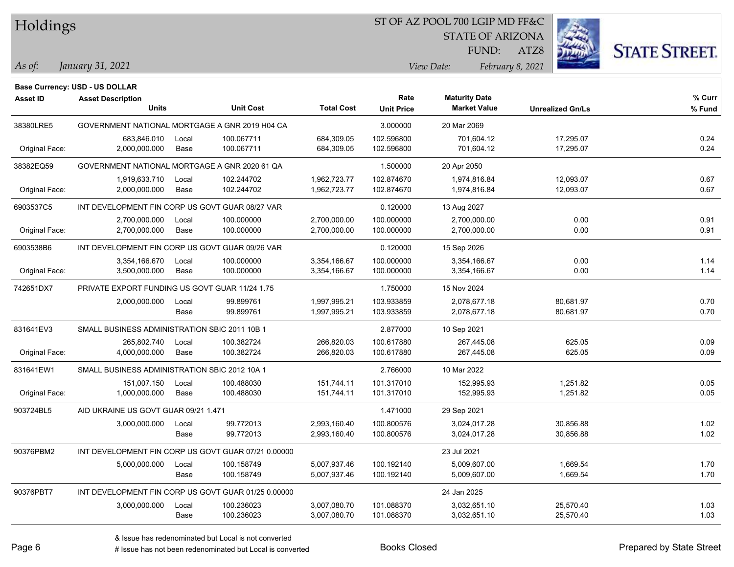## ST OF AZ POOL 700 LGIP MD FF&C

STATE OF ARIZONA

ATZ8



*January 31, 2021 As of: View Date: February 8, 2021*

**Base Currency: USD - US DOLLAR**

FUND:

| <b>Asset ID</b> | <b>Asset Description</b><br><b>Units</b>        |       | <b>Unit Cost</b>                                    | <b>Total Cost</b> | Rate<br><b>Unit Price</b> | <b>Maturity Date</b><br><b>Market Value</b> | <b>Unrealized Gn/Ls</b> | % Curr<br>% Fund |
|-----------------|-------------------------------------------------|-------|-----------------------------------------------------|-------------------|---------------------------|---------------------------------------------|-------------------------|------------------|
| 38380LRE5       | GOVERNMENT NATIONAL MORTGAGE A GNR 2019 H04 CA  |       |                                                     |                   | 3.000000                  | 20 Mar 2069                                 |                         |                  |
|                 | 683,846.010                                     | Local | 100.067711                                          | 684,309.05        | 102.596800                | 701,604.12                                  | 17,295.07               | 0.24             |
| Original Face:  | 2,000,000.000                                   | Base  | 100.067711                                          | 684,309.05        | 102.596800                | 701,604.12                                  | 17,295.07               | 0.24             |
| 38382EQ59       | GOVERNMENT NATIONAL MORTGAGE A GNR 2020 61 QA   |       |                                                     |                   | 1.500000                  | 20 Apr 2050                                 |                         |                  |
|                 | 1,919,633.710                                   | Local | 102.244702                                          | 1,962,723.77      | 102.874670                | 1.974.816.84                                | 12,093.07               | 0.67             |
| Original Face:  | 2,000,000.000                                   | Base  | 102.244702                                          | 1,962,723.77      | 102.874670                | 1,974,816.84                                | 12,093.07               | 0.67             |
| 6903537C5       | INT DEVELOPMENT FIN CORP US GOVT GUAR 08/27 VAR |       |                                                     |                   | 0.120000                  | 13 Aug 2027                                 |                         |                  |
|                 | 2,700,000.000                                   | Local | 100.000000                                          | 2,700,000.00      | 100.000000                | 2,700,000.00                                | 0.00                    | 0.91             |
| Original Face:  | 2,700,000.000                                   | Base  | 100.000000                                          | 2,700,000.00      | 100.000000                | 2,700,000.00                                | 0.00                    | 0.91             |
| 6903538B6       | INT DEVELOPMENT FIN CORP US GOVT GUAR 09/26 VAR |       |                                                     |                   | 0.120000                  | 15 Sep 2026                                 |                         |                  |
|                 | 3,354,166.670                                   | Local | 100.000000                                          | 3,354,166.67      | 100.000000                | 3,354,166.67                                | 0.00                    | 1.14             |
| Original Face:  | 3,500,000.000                                   | Base  | 100.000000                                          | 3,354,166.67      | 100.000000                | 3,354,166.67                                | 0.00                    | 1.14             |
| 742651DX7       | PRIVATE EXPORT FUNDING US GOVT GUAR 11/24 1.75  |       |                                                     |                   | 1.750000                  | 15 Nov 2024                                 |                         |                  |
|                 | 2,000,000.000                                   | Local | 99.899761                                           | 1,997,995.21      | 103.933859                | 2,078,677.18                                | 80,681.97               | 0.70             |
|                 |                                                 | Base  | 99.899761                                           | 1,997,995.21      | 103.933859                | 2,078,677.18                                | 80,681.97               | 0.70             |
| 831641EV3       | SMALL BUSINESS ADMINISTRATION SBIC 2011 10B 1   |       |                                                     |                   | 2.877000                  | 10 Sep 2021                                 |                         |                  |
|                 | 265,802.740                                     | Local | 100.382724                                          | 266,820.03        | 100.617880                | 267,445.08                                  | 625.05                  | 0.09             |
| Original Face:  | 4,000,000.000                                   | Base  | 100.382724                                          | 266,820.03        | 100.617880                | 267,445.08                                  | 625.05                  | 0.09             |
| 831641EW1       | SMALL BUSINESS ADMINISTRATION SBIC 2012 10A 1   |       |                                                     |                   | 2.766000                  | 10 Mar 2022                                 |                         |                  |
|                 | 151,007.150                                     | Local | 100.488030                                          | 151,744.11        | 101.317010                | 152,995.93                                  | 1,251.82                | 0.05             |
| Original Face:  | 1,000,000.000                                   | Base  | 100.488030                                          | 151,744.11        | 101.317010                | 152,995.93                                  | 1,251.82                | 0.05             |
| 903724BL5       | AID UKRAINE US GOVT GUAR 09/21 1.471            |       |                                                     |                   | 1.471000                  | 29 Sep 2021                                 |                         |                  |
|                 | 3,000,000.000                                   | Local | 99.772013                                           | 2,993,160.40      | 100.800576                | 3,024,017.28                                | 30,856.88               | 1.02             |
|                 |                                                 | Base  | 99.772013                                           | 2,993,160.40      | 100.800576                | 3,024,017.28                                | 30,856.88               | 1.02             |
| 90376PBM2       |                                                 |       | INT DEVELOPMENT FIN CORP US GOVT GUAR 07/21 0.00000 |                   |                           | 23 Jul 2021                                 |                         |                  |
|                 | 5,000,000.000                                   | Local | 100.158749                                          | 5,007,937.46      | 100.192140                | 5,009,607.00                                | 1,669.54                | 1.70             |
|                 |                                                 | Base  | 100.158749                                          | 5,007,937.46      | 100.192140                | 5,009,607.00                                | 1,669.54                | 1.70             |
| 90376PBT7       |                                                 |       | INT DEVELOPMENT FIN CORP US GOVT GUAR 01/25 0.00000 |                   |                           | 24 Jan 2025                                 |                         |                  |
|                 | 3,000,000.000                                   | Local | 100.236023                                          | 3,007,080.70      | 101.088370                | 3,032,651.10                                | 25,570.40               | 1.03             |
|                 |                                                 | Base  | 100.236023                                          | 3,007,080.70      | 101.088370                | 3,032,651.10                                | 25,570.40               | 1.03             |

A ISSUE ISSUE ISSUE ISSUE ISSUE ISSUE ISSUE ISSUE ISSUE ISSUE ISSUE ISSUE ISSUE ISSUE ISSUE ISSUE ISSUE ISSUE I<br>
# Issue has not been redenominated but Local is converted **BOOKS** Closed **Prepared by State Street**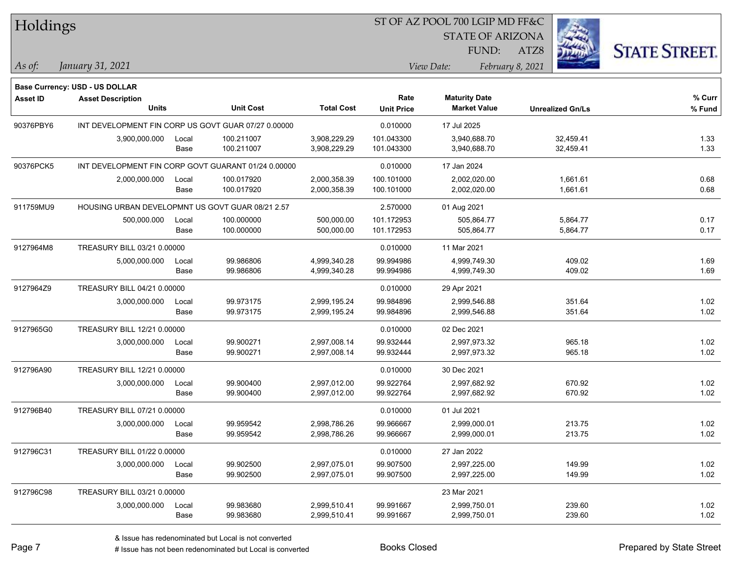|                 | Holdings                                         |       | ST OF AZ POOL 700 LGIP MD FF&C                      |                   |                   |                      |                         |      |                         |                      |
|-----------------|--------------------------------------------------|-------|-----------------------------------------------------|-------------------|-------------------|----------------------|-------------------------|------|-------------------------|----------------------|
|                 |                                                  |       |                                                     |                   |                   |                      | <b>STATE OF ARIZONA</b> |      |                         |                      |
|                 |                                                  |       |                                                     |                   |                   |                      | FUND:                   | ATZ8 |                         | <b>STATE STREET.</b> |
| As of:          | January 31, 2021                                 |       |                                                     |                   |                   | View Date:           | February 8, 2021        |      |                         |                      |
|                 | Base Currency: USD - US DOLLAR                   |       |                                                     |                   |                   |                      |                         |      |                         |                      |
| <b>Asset ID</b> | <b>Asset Description</b>                         |       |                                                     |                   | Rate              | <b>Maturity Date</b> |                         |      |                         | % Curr               |
|                 | Units                                            |       | <b>Unit Cost</b>                                    | <b>Total Cost</b> | <b>Unit Price</b> |                      | <b>Market Value</b>     |      | <b>Unrealized Gn/Ls</b> | % Fund               |
| 90376PBY6       |                                                  |       | INT DEVELOPMENT FIN CORP US GOVT GUAR 07/27 0.00000 |                   | 0.010000          | 17 Jul 2025          |                         |      |                         |                      |
|                 | 3,900,000.000                                    | Local | 100.211007                                          | 3,908,229.29      | 101.043300        |                      | 3,940,688.70            |      | 32,459.41               | 1.33                 |
|                 |                                                  | Base  | 100.211007                                          | 3,908,229.29      | 101.043300        |                      | 3,940,688.70            |      | 32,459.41               | 1.33                 |
| 90376PCK5       |                                                  |       | INT DEVELOPMENT FIN CORP GOVT GUARANT 01/24 0.00000 |                   | 0.010000          | 17 Jan 2024          |                         |      |                         |                      |
|                 | 2,000,000.000                                    | Local | 100.017920                                          | 2,000,358.39      | 100.101000        |                      | 2,002,020.00            |      | 1,661.61                | 0.68                 |
|                 |                                                  | Base  | 100.017920                                          | 2,000,358.39      | 100.101000        |                      | 2,002,020.00            |      | 1,661.61                | 0.68                 |
| 911759MU9       | HOUSING URBAN DEVELOPMNT US GOVT GUAR 08/21 2.57 |       |                                                     |                   | 2.570000          | 01 Aug 2021          |                         |      |                         |                      |
|                 | 500,000.000                                      | Local | 100.000000                                          | 500,000.00        | 101.172953        |                      | 505,864.77              |      | 5,864.77                | 0.17                 |
|                 |                                                  | Base  | 100.000000                                          | 500,000.00        | 101.172953        |                      | 505,864.77              |      | 5,864.77                | 0.17                 |
| 9127964M8       | TREASURY BILL 03/21 0.00000                      |       |                                                     |                   | 0.010000          | 11 Mar 2021          |                         |      |                         |                      |
|                 | 5,000,000.000                                    | Local | 99.986806                                           | 4,999,340.28      | 99.994986         |                      | 4,999,749.30            |      | 409.02                  | 1.69                 |
|                 |                                                  | Base  | 99.986806                                           | 4,999,340.28      | 99.994986         |                      | 4,999,749.30            |      | 409.02                  | 1.69                 |
| 9127964Z9       | <b>TREASURY BILL 04/21 0.00000</b>               |       |                                                     |                   | 0.010000          | 29 Apr 2021          |                         |      |                         |                      |
|                 | 3,000,000.000                                    | Local | 99.973175                                           | 2,999,195.24      | 99.984896         |                      | 2,999,546.88            |      | 351.64                  | 1.02                 |
|                 |                                                  | Base  | 99.973175                                           | 2,999,195.24      | 99.984896         |                      | 2,999,546.88            |      | 351.64                  | 1.02                 |
| 9127965G0       | TREASURY BILL 12/21 0.00000                      |       |                                                     |                   | 0.010000          | 02 Dec 2021          |                         |      |                         |                      |
|                 | 3,000,000.000                                    | Local | 99.900271                                           | 2,997,008.14      | 99.932444         |                      | 2,997,973.32            |      | 965.18                  | 1.02                 |
|                 |                                                  | Base  | 99.900271                                           | 2,997,008.14      | 99.932444         |                      | 2,997,973.32            |      | 965.18                  | 1.02                 |
| 912796A90       | TREASURY BILL 12/21 0.00000                      |       |                                                     |                   | 0.010000          | 30 Dec 2021          |                         |      |                         |                      |
|                 | 3,000,000.000                                    | Local | 99.900400                                           | 2,997,012.00      | 99.922764         |                      | 2,997,682.92            |      | 670.92                  | 1.02                 |
|                 |                                                  | Base  | 99.900400                                           | 2,997,012.00      | 99.922764         |                      | 2,997,682.92            |      | 670.92                  | 1.02                 |
| 912796B40       | TREASURY BILL 07/21 0.00000                      |       |                                                     |                   | 0.010000          | 01 Jul 2021          |                         |      |                         |                      |
|                 | 3,000,000.000 Local                              |       | 99.959542                                           | 2,998,786.26      | 99.966667         |                      | 2,999,000.01            |      | 213.75                  | 1.02                 |
|                 |                                                  | Base  | 99.959542                                           | 2,998,786.26      | 99.966667         |                      | 2,999,000.01            |      | 213.75                  | 1.02                 |
| 912796C31       | TREASURY BILL 01/22 0.00000                      |       |                                                     |                   | 0.010000          | 27 Jan 2022          |                         |      |                         |                      |
|                 | 3,000,000.000                                    | Local | 99.902500                                           | 2,997,075.01      | 99.907500         |                      | 2,997,225.00            |      | 149.99                  | 1.02                 |
|                 |                                                  | Base  | 99.902500                                           | 2,997,075.01      | 99.907500         |                      | 2,997,225.00            |      | 149.99                  | 1.02                 |
| 912796C98       | TREASURY BILL 03/21 0.00000                      |       |                                                     |                   |                   | 23 Mar 2021          |                         |      |                         |                      |
|                 | 3,000,000.000                                    | Local | 99.983680                                           | 2,999,510.41      | 99.991667         |                      | 2,999,750.01            |      | 239.60                  | 1.02                 |
|                 |                                                  | Base  | 99.983680                                           | 2,999,510.41      | 99.991667         |                      | 2,999,750.01            |      | 239.60                  | 1.02                 |

 $\overline{\phantom{0}}$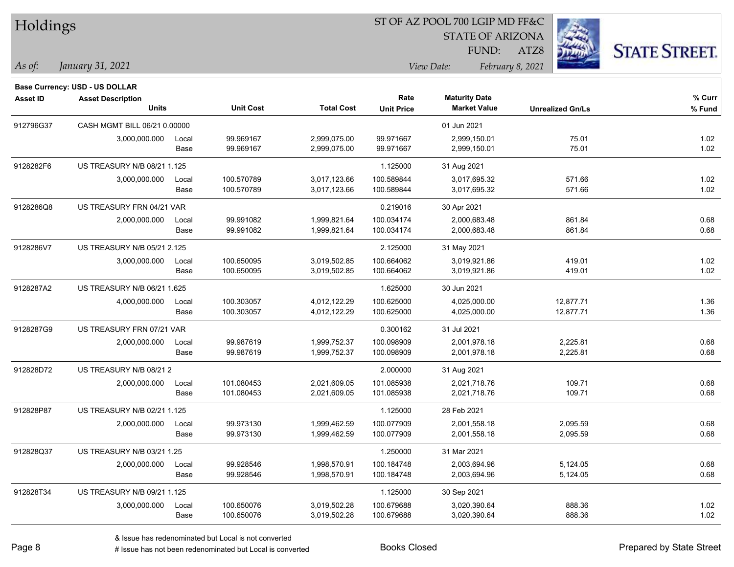| Holdings |  |
|----------|--|
|          |  |

STATE OF ARIZONA



**% Fund**

**% Curr**

|                 |                                                                                   |               |                          |                              |                           | FUND:                                       | <b><i><u>ALAHAN</u></i></b><br>ATZ8 | <b>STATE STREET</b> |
|-----------------|-----------------------------------------------------------------------------------|---------------|--------------------------|------------------------------|---------------------------|---------------------------------------------|-------------------------------------|---------------------|
| As of:          | January 31, 2021                                                                  |               |                          |                              |                           | View Date:                                  | February 8, 2021                    |                     |
| <b>Asset ID</b> | <b>Base Currency: USD - US DOLLAR</b><br><b>Asset Description</b><br><b>Units</b> |               | <b>Unit Cost</b>         | <b>Total Cost</b>            | Rate<br><b>Unit Price</b> | <b>Maturity Date</b><br><b>Market Value</b> | <b>Unrealized Gn/Ls</b>             | % Cur<br>% Fun      |
| 912796G37       | CASH MGMT BILL 06/21 0.00000                                                      |               |                          |                              |                           | 01 Jun 2021                                 |                                     |                     |
|                 | 3,000,000.000                                                                     | Local<br>Base | 99.969167<br>99.969167   | 2,999,075.00<br>2,999,075.00 | 99.971667<br>99.971667    | 2,999,150.01<br>2,999,150.01                | 75.01<br>75.01                      | 1.02<br>1.02        |
| 9128282F6       | US TREASURY N/B 08/21 1.125                                                       |               |                          |                              | 1.125000                  | 31 Aug 2021                                 |                                     |                     |
|                 | 3,000,000.000                                                                     | Local<br>Base | 100.570789<br>100.570789 | 3,017,123.66<br>3,017,123.66 | 100.589844<br>100.589844  | 3,017,695.32<br>3,017,695.32                | 571.66<br>571.66                    | 1.02<br>1.02        |
| 9128286Q8       | US TREASURY FRN 04/21 VAR                                                         |               |                          |                              | 0.219016                  | 30 Apr 2021                                 |                                     |                     |
|                 | 2,000,000.000                                                                     | Local<br>Base | 99.991082<br>99.991082   | 1,999,821.64<br>1,999,821.64 | 100.034174<br>100.034174  | 2,000,683.48<br>2,000,683.48                | 861.84<br>861.84                    | 0.68<br>0.68        |
| 9128286V7       | US TREASURY N/B 05/21 2.125                                                       |               |                          |                              | 2.125000                  | 31 May 2021                                 |                                     |                     |
|                 | 3,000,000.000                                                                     | Local<br>Base | 100.650095<br>100.650095 | 3,019,502.85<br>3,019,502.85 | 100.664062<br>100.664062  | 3,019,921.86<br>3,019,921.86                | 419.01<br>419.01                    | 1.02<br>1.02        |
| 9128287A2       | US TREASURY N/B 06/21 1.625                                                       |               |                          |                              | 1.625000                  | 30 Jun 2021                                 |                                     |                     |
|                 | 4,000,000.000                                                                     | Local<br>Base | 100.303057<br>100.303057 | 4,012,122.29<br>4,012,122.29 | 100.625000<br>100.625000  | 4,025,000.00<br>4,025,000.00                | 12,877.71<br>12,877.71              | 1.36<br>1.36        |
| 9128287G9       | US TREASURY FRN 07/21 VAR                                                         |               |                          |                              | 0.300162                  | 31 Jul 2021                                 |                                     |                     |
|                 | 2,000,000.000                                                                     | Local<br>Base | 99.987619<br>99.987619   | 1,999,752.37<br>1,999,752.37 | 100.098909<br>100.098909  | 2,001,978.18<br>2,001,978.18                | 2,225.81<br>2,225.81                | 0.68<br>0.68        |

|           |                             | Base  | 99.987619  | 1,999,752.37 | 100.098909 | 2,001,978.18 | 2,225.81 | 0.68 |
|-----------|-----------------------------|-------|------------|--------------|------------|--------------|----------|------|
| 912828D72 | US TREASURY N/B 08/212      |       |            |              | 2.000000   | 31 Aug 2021  |          |      |
|           | 2,000,000.000               | Local | 101.080453 | 2,021,609.05 | 101.085938 | 2,021,718.76 | 109.71   | 0.68 |
|           |                             | Base  | 101.080453 | 2,021,609.05 | 101.085938 | 2,021,718.76 | 109.71   | 0.68 |
| 912828P87 | US TREASURY N/B 02/21 1.125 |       |            |              | 1.125000   | 28 Feb 2021  |          |      |
|           | 2,000,000.000               | Local | 99.973130  | 1,999,462.59 | 100.077909 | 2,001,558.18 | 2,095.59 | 0.68 |
|           |                             | Base  | 99.973130  | 1,999,462.59 | 100.077909 | 2,001,558.18 | 2,095.59 | 0.68 |
| 912828Q37 | US TREASURY N/B 03/21 1.25  |       |            |              | 1.250000   | 31 Mar 2021  |          |      |
|           | 2,000,000.000               | Local | 99.928546  | 1,998,570.91 | 100.184748 | 2,003,694.96 | 5,124.05 | 0.68 |
|           |                             | Base  | 99.928546  | 1,998,570.91 | 100.184748 | 2,003,694.96 | 5,124.05 | 0.68 |
| 912828T34 | US TREASURY N/B 09/21 1.125 |       |            |              | 1.125000   | 30 Sep 2021  |          |      |
|           | 3,000,000.000               | Local | 100.650076 | 3,019,502.28 | 100.679688 | 3,020,390.64 | 888.36   | 1.02 |
|           |                             | Base  | 100.650076 | 3,019,502.28 | 100.679688 | 3,020,390.64 | 888.36   | 1.02 |
|           |                             |       |            |              |            |              |          |      |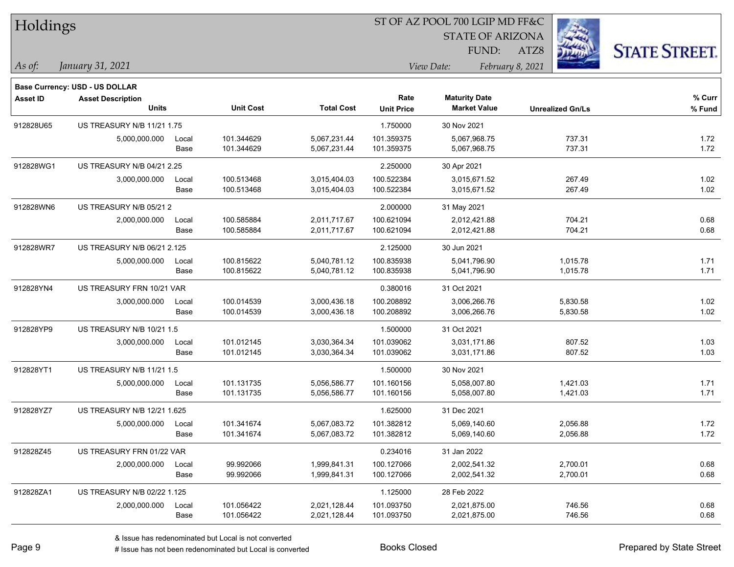| Holdings        |                                   |       |                  |                   |                   | ST OF AZ POOL 700 LGIP MD FF&C |                  |                         |                      |
|-----------------|-----------------------------------|-------|------------------|-------------------|-------------------|--------------------------------|------------------|-------------------------|----------------------|
|                 |                                   |       |                  |                   |                   | <b>STATE OF ARIZONA</b>        |                  |                         |                      |
|                 |                                   |       |                  |                   |                   | FUND:                          | ATZ8             |                         | <b>STATE STREET.</b> |
| As of:          | January 31, 2021                  |       |                  |                   |                   | View Date:                     | February 8, 2021 |                         |                      |
|                 | Base Currency: USD - US DOLLAR    |       |                  |                   |                   |                                |                  |                         |                      |
| <b>Asset ID</b> | <b>Asset Description</b>          |       |                  |                   | Rate              | <b>Maturity Date</b>           |                  |                         | % Curr               |
|                 | Units                             |       | <b>Unit Cost</b> | <b>Total Cost</b> | <b>Unit Price</b> | <b>Market Value</b>            |                  | <b>Unrealized Gn/Ls</b> | % Fund               |
| 912828U65       | <b>US TREASURY N/B 11/21 1.75</b> |       |                  |                   | 1.750000          | 30 Nov 2021                    |                  |                         |                      |
|                 | 5,000,000.000                     | Local | 101.344629       | 5,067,231.44      | 101.359375        | 5,067,968.75                   |                  | 737.31                  | 1.72                 |
|                 |                                   | Base  | 101.344629       | 5,067,231.44      | 101.359375        | 5,067,968.75                   |                  | 737.31                  | 1.72                 |
| 912828WG1       | US TREASURY N/B 04/21 2.25        |       |                  |                   | 2.250000          | 30 Apr 2021                    |                  |                         |                      |
|                 | 3,000,000.000                     | Local | 100.513468       | 3,015,404.03      | 100.522384        | 3,015,671.52                   |                  | 267.49                  | 1.02                 |
|                 |                                   | Base  | 100.513468       | 3,015,404.03      | 100.522384        | 3,015,671.52                   |                  | 267.49                  | 1.02                 |
| 912828WN6       | US TREASURY N/B 05/21 2           |       |                  |                   | 2.000000          | 31 May 2021                    |                  |                         |                      |
|                 | 2,000,000.000                     | Local | 100.585884       | 2,011,717.67      | 100.621094        | 2,012,421.88                   |                  | 704.21                  | 0.68                 |
|                 |                                   | Base  | 100.585884       | 2,011,717.67      | 100.621094        | 2,012,421.88                   |                  | 704.21                  | 0.68                 |
| 912828WR7       | US TREASURY N/B 06/21 2.125       |       |                  |                   | 2.125000          | 30 Jun 2021                    |                  |                         |                      |
|                 | 5,000,000.000                     | Local | 100.815622       | 5,040,781.12      | 100.835938        | 5,041,796.90                   |                  | 1,015.78                | 1.71                 |
|                 |                                   | Base  | 100.815622       | 5,040,781.12      | 100.835938        | 5,041,796.90                   |                  | 1,015.78                | 1.71                 |
| 912828YN4       | US TREASURY FRN 10/21 VAR         |       |                  |                   | 0.380016          | 31 Oct 2021                    |                  |                         |                      |
|                 | 3,000,000.000                     | Local | 100.014539       | 3,000,436.18      | 100.208892        | 3,006,266.76                   |                  | 5,830.58                | 1.02                 |
|                 |                                   | Base  | 100.014539       | 3,000,436.18      | 100.208892        | 3,006,266.76                   |                  | 5,830.58                | 1.02                 |
| 912828YP9       | US TREASURY N/B 10/21 1.5         |       |                  |                   | 1.500000          | 31 Oct 2021                    |                  |                         |                      |
|                 | 3,000,000.000                     | Local | 101.012145       | 3,030,364.34      | 101.039062        | 3,031,171.86                   |                  | 807.52                  | 1.03                 |
|                 |                                   | Base  | 101.012145       | 3,030,364.34      | 101.039062        | 3,031,171.86                   |                  | 807.52                  | 1.03                 |
| 912828YT1       | US TREASURY N/B 11/21 1.5         |       |                  |                   | 1.500000          | 30 Nov 2021                    |                  |                         |                      |
|                 | 5,000,000.000                     | Local | 101.131735       | 5,056,586.77      | 101.160156        | 5,058,007.80                   |                  | 1,421.03                | 1.71                 |
|                 |                                   | Base  | 101.131735       | 5,056,586.77      | 101.160156        | 5,058,007.80                   |                  | 1,421.03                | 1.71                 |
| 912828YZ7       | US TREASURY N/B 12/21 1.625       |       |                  |                   | 1.625000          | 31 Dec 2021                    |                  |                         |                      |
|                 | 5,000,000.000                     | Local | 101.341674       | 5,067,083.72      | 101.382812        | 5,069,140.60                   |                  | 2,056.88                | 1.72                 |
|                 |                                   | Base  | 101.341674       | 5,067,083.72      | 101.382812        | 5,069,140.60                   |                  | 2,056.88                | 1.72                 |
| 912828Z45       | US TREASURY FRN 01/22 VAR         |       |                  |                   | 0.234016          | 31 Jan 2022                    |                  |                         |                      |
|                 | 2,000,000.000                     | Local | 99.992066        | 1,999,841.31      | 100.127066        | 2,002,541.32                   |                  | 2,700.01                | 0.68                 |
|                 |                                   | Base  | 99.992066        | 1,999,841.31      | 100.127066        | 2,002,541.32                   |                  | 2,700.01                | 0.68                 |
| 912828ZA1       | US TREASURY N/B 02/22 1.125       |       |                  |                   | 1.125000          | 28 Feb 2022                    |                  |                         |                      |
|                 | 2,000,000.000                     | Local | 101.056422       | 2,021,128.44      | 101.093750        | 2,021,875.00                   |                  | 746.56                  | 0.68                 |
|                 |                                   | Base  | 101.056422       | 2,021,128.44      | 101.093750        | 2,021,875.00                   |                  | 746.56                  | 0.68                 |

 $\overline{\phantom{0}}$ 

 $\overline{\phantom{0}}$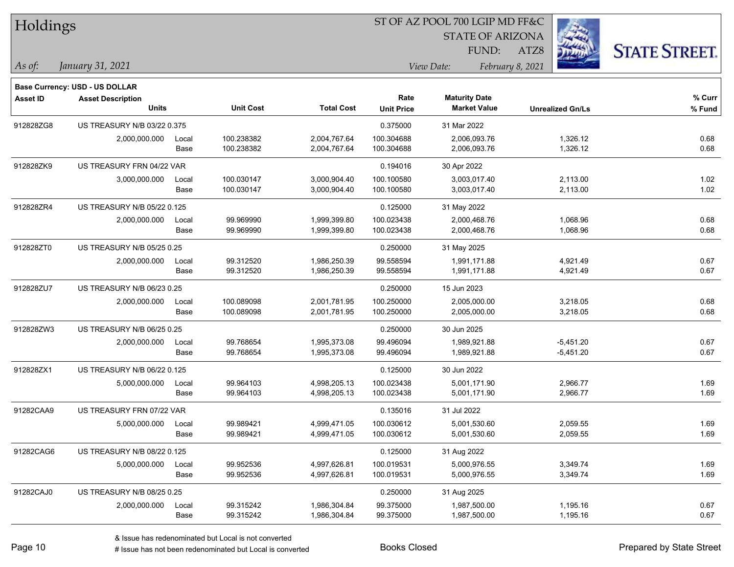| Holdings        |                                |       |                  |                   | ST OF AZ POOL 700 LGIP MD FF&C |                                |                         |                      |  |  |
|-----------------|--------------------------------|-------|------------------|-------------------|--------------------------------|--------------------------------|-------------------------|----------------------|--|--|
|                 |                                |       |                  |                   |                                | <b>STATE OF ARIZONA</b>        |                         |                      |  |  |
|                 |                                |       |                  |                   |                                | FUND:                          | 煥<br>ATZ8               | <b>STATE STREET.</b> |  |  |
| As of:          | January 31, 2021               |       |                  |                   |                                | February 8, 2021<br>View Date: |                         |                      |  |  |
|                 | Base Currency: USD - US DOLLAR |       |                  |                   |                                |                                |                         |                      |  |  |
| <b>Asset ID</b> | <b>Asset Description</b>       |       |                  |                   | Rate                           | <b>Maturity Date</b>           |                         | % Curr               |  |  |
|                 | <b>Units</b>                   |       | <b>Unit Cost</b> | <b>Total Cost</b> | <b>Unit Price</b>              | <b>Market Value</b>            | <b>Unrealized Gn/Ls</b> | % Fund               |  |  |
| 912828ZG8       | US TREASURY N/B 03/22 0.375    |       |                  |                   | 0.375000                       | 31 Mar 2022                    |                         |                      |  |  |
|                 | 2,000,000.000                  | Local | 100.238382       | 2,004,767.64      | 100.304688                     | 2,006,093.76                   | 1,326.12                | 0.68                 |  |  |
|                 |                                | Base  | 100.238382       | 2,004,767.64      | 100.304688                     | 2,006,093.76                   | 1,326.12                | 0.68                 |  |  |
| 912828ZK9       | US TREASURY FRN 04/22 VAR      |       |                  |                   | 0.194016                       | 30 Apr 2022                    |                         |                      |  |  |
|                 | 3,000,000.000                  | Local | 100.030147       | 3,000,904.40      | 100.100580                     | 3,003,017.40                   | 2,113.00                | 1.02                 |  |  |
|                 |                                | Base  | 100.030147       | 3,000,904.40      | 100.100580                     | 3,003,017.40                   | 2,113.00                | 1.02                 |  |  |
| 912828ZR4       | US TREASURY N/B 05/22 0.125    |       |                  |                   | 0.125000                       | 31 May 2022                    |                         |                      |  |  |
|                 | 2,000,000.000                  | Local | 99.969990        | 1,999,399.80      | 100.023438                     | 2,000,468.76                   | 1,068.96                | 0.68                 |  |  |
|                 |                                | Base  | 99.969990        | 1,999,399.80      | 100.023438                     | 2,000,468.76                   | 1,068.96                | 0.68                 |  |  |
| 912828ZT0       | US TREASURY N/B 05/25 0.25     |       |                  |                   | 0.250000                       | 31 May 2025                    |                         |                      |  |  |
|                 | 2,000,000.000                  | Local | 99.312520        | 1,986,250.39      | 99.558594                      | 1,991,171.88                   | 4,921.49                | 0.67                 |  |  |
|                 |                                | Base  | 99.312520        | 1,986,250.39      | 99.558594                      | 1,991,171.88                   | 4,921.49                | 0.67                 |  |  |
| 912828ZU7       | US TREASURY N/B 06/23 0.25     |       |                  |                   | 0.250000                       | 15 Jun 2023                    |                         |                      |  |  |
|                 | 2,000,000.000                  | Local | 100.089098       | 2,001,781.95      | 100.250000                     | 2,005,000.00                   | 3,218.05                | 0.68                 |  |  |
|                 |                                | Base  | 100.089098       | 2,001,781.95      | 100.250000                     | 2,005,000.00                   | 3,218.05                | 0.68                 |  |  |
| 912828ZW3       | US TREASURY N/B 06/25 0.25     |       |                  |                   | 0.250000                       | 30 Jun 2025                    |                         |                      |  |  |
|                 | 2,000,000.000                  | Local | 99.768654        | 1,995,373.08      | 99.496094                      | 1,989,921.88                   | $-5,451.20$             | 0.67                 |  |  |
|                 |                                | Base  | 99.768654        | 1,995,373.08      | 99.496094                      | 1,989,921.88                   | $-5,451.20$             | 0.67                 |  |  |
| 912828ZX1       | US TREASURY N/B 06/22 0.125    |       |                  |                   | 0.125000                       | 30 Jun 2022                    |                         |                      |  |  |
|                 | 5,000,000.000                  | Local | 99.964103        | 4,998,205.13      | 100.023438                     | 5,001,171.90                   | 2,966.77                | 1.69                 |  |  |
|                 |                                | Base  | 99.964103        | 4,998,205.13      | 100.023438                     | 5,001,171.90                   | 2,966.77                | 1.69                 |  |  |
| 91282CAA9       | US TREASURY FRN 07/22 VAR      |       |                  |                   | 0.135016                       | 31 Jul 2022                    |                         |                      |  |  |
|                 | 5,000,000.000                  | Local | 99.989421        | 4,999,471.05      | 100.030612                     | 5,001,530.60                   | 2,059.55                | 1.69                 |  |  |
|                 |                                | Base  | 99.989421        | 4,999,471.05      | 100.030612                     | 5,001,530.60                   | 2,059.55                | 1.69                 |  |  |
| 91282CAG6       | US TREASURY N/B 08/22 0.125    |       |                  |                   | 0.125000                       | 31 Aug 2022                    |                         |                      |  |  |
|                 | 5,000,000.000                  | Local | 99.952536        | 4,997,626.81      | 100.019531                     | 5,000,976.55                   | 3,349.74                | 1.69                 |  |  |
|                 |                                | Base  | 99.952536        | 4,997,626.81      | 100.019531                     | 5,000,976.55                   | 3,349.74                | 1.69                 |  |  |
| 91282CAJ0       | US TREASURY N/B 08/25 0.25     |       |                  |                   | 0.250000                       | 31 Aug 2025                    |                         |                      |  |  |
|                 | 2,000,000.000                  | Local | 99.315242        | 1,986,304.84      | 99.375000                      | 1,987,500.00                   | 1,195.16                | 0.67                 |  |  |
|                 |                                | Base  | 99.315242        | 1,986,304.84      | 99.375000                      | 1,987,500.00                   | 1,195.16                | 0.67                 |  |  |

 $\overline{\phantom{0}}$ 

-

 $\overline{\phantom{0}}$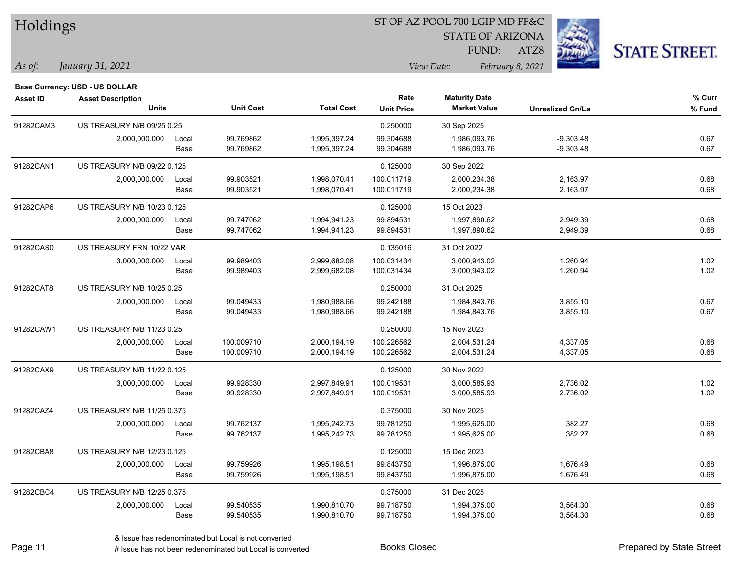| Holdings        |                                |       |                  |                   |                   | ST OF AZ POOL 700 LGIP MD FF&C |                         |                      |
|-----------------|--------------------------------|-------|------------------|-------------------|-------------------|--------------------------------|-------------------------|----------------------|
|                 |                                |       |                  |                   |                   | <b>STATE OF ARIZONA</b>        |                         |                      |
|                 |                                |       |                  |                   |                   | FUND:                          | ATZ8                    | <b>STATE STREET.</b> |
| As of:          | January 31, 2021               |       |                  |                   |                   | View Date:                     | February 8, 2021        |                      |
|                 | Base Currency: USD - US DOLLAR |       |                  |                   |                   |                                |                         |                      |
| <b>Asset ID</b> | <b>Asset Description</b>       |       |                  |                   | Rate              | <b>Maturity Date</b>           |                         | % Curr               |
|                 | <b>Units</b>                   |       | <b>Unit Cost</b> | <b>Total Cost</b> | <b>Unit Price</b> | <b>Market Value</b>            | <b>Unrealized Gn/Ls</b> | % Fund               |
| 91282CAM3       | US TREASURY N/B 09/25 0.25     |       |                  |                   | 0.250000          | 30 Sep 2025                    |                         |                      |
|                 | 2,000,000.000                  | Local | 99.769862        | 1,995,397.24      | 99.304688         | 1,986,093.76                   | $-9,303.48$             | 0.67                 |
|                 |                                | Base  | 99.769862        | 1,995,397.24      | 99.304688         | 1,986,093.76                   | $-9,303.48$             | 0.67                 |
| 91282CAN1       | US TREASURY N/B 09/22 0.125    |       |                  |                   | 0.125000          | 30 Sep 2022                    |                         |                      |
|                 | 2,000,000.000                  | Local | 99.903521        | 1,998,070.41      | 100.011719        | 2,000,234.38                   | 2,163.97                | 0.68                 |
|                 |                                | Base  | 99.903521        | 1,998,070.41      | 100.011719        | 2,000,234.38                   | 2,163.97                | 0.68                 |
| 91282CAP6       | US TREASURY N/B 10/23 0.125    |       |                  |                   | 0.125000          | 15 Oct 2023                    |                         |                      |
|                 | 2,000,000.000                  | Local | 99.747062        | 1,994,941.23      | 99.894531         | 1,997,890.62                   | 2,949.39                | 0.68                 |
|                 |                                | Base  | 99.747062        | 1,994,941.23      | 99.894531         | 1,997,890.62                   | 2,949.39                | 0.68                 |
| 91282CAS0       | US TREASURY FRN 10/22 VAR      |       |                  |                   | 0.135016          | 31 Oct 2022                    |                         |                      |
|                 | 3,000,000.000                  | Local | 99.989403        | 2,999,682.08      | 100.031434        | 3,000,943.02                   | 1,260.94                | 1.02                 |
|                 |                                | Base  | 99.989403        | 2,999,682.08      | 100.031434        | 3,000,943.02                   | 1,260.94                | 1.02                 |
| 91282CAT8       | US TREASURY N/B 10/25 0.25     |       |                  |                   | 0.250000          | 31 Oct 2025                    |                         |                      |
|                 | 2,000,000.000                  | Local | 99.049433        | 1,980,988.66      | 99.242188         | 1,984,843.76                   | 3,855.10                | 0.67                 |
|                 |                                | Base  | 99.049433        | 1,980,988.66      | 99.242188         | 1,984,843.76                   | 3,855.10                | 0.67                 |
| 91282CAW1       | US TREASURY N/B 11/23 0.25     |       |                  |                   | 0.250000          | 15 Nov 2023                    |                         |                      |
|                 | 2,000,000.000                  | Local | 100.009710       | 2,000,194.19      | 100.226562        | 2,004,531.24                   | 4,337.05                | 0.68                 |
|                 |                                | Base  | 100.009710       | 2,000,194.19      | 100.226562        | 2,004,531.24                   | 4,337.05                | 0.68                 |
| 91282CAX9       | US TREASURY N/B 11/22 0.125    |       |                  |                   | 0.125000          | 30 Nov 2022                    |                         |                      |
|                 | 3,000,000.000                  | Local | 99.928330        | 2,997,849.91      | 100.019531        | 3,000,585.93                   | 2,736.02                | 1.02                 |
|                 |                                | Base  | 99.928330        | 2,997,849.91      | 100.019531        | 3,000,585.93                   | 2,736.02                | 1.02                 |
| 91282CAZ4       | US TREASURY N/B 11/25 0.375    |       |                  |                   | 0.375000          | 30 Nov 2025                    |                         |                      |
|                 | 2,000,000.000                  | Local | 99.762137        | 1,995,242.73      | 99.781250         | 1,995,625.00                   | 382.27                  | 0.68                 |
|                 |                                | Base  | 99.762137        | 1,995,242.73      | 99.781250         | 1,995,625.00                   | 382.27                  | 0.68                 |
| 91282CBA8       | US TREASURY N/B 12/23 0.125    |       |                  |                   | 0.125000          | 15 Dec 2023                    |                         |                      |
|                 | 2,000,000.000                  | Local | 99.759926        | 1,995,198.51      | 99.843750         | 1,996,875.00                   | 1,676.49                | 0.68                 |
|                 |                                | Base  | 99.759926        | 1,995,198.51      | 99.843750         | 1,996,875.00                   | 1,676.49                | 0.68                 |
| 91282CBC4       | US TREASURY N/B 12/25 0.375    |       |                  |                   | 0.375000          | 31 Dec 2025                    |                         |                      |
|                 | 2,000,000.000                  | Local | 99.540535        | 1,990,810.70      | 99.718750         | 1,994,375.00                   | 3,564.30                | 0.68                 |
|                 |                                | Base  | 99.540535        | 1,990,810.70      | 99.718750         | 1,994,375.00                   | 3,564.30                | 0.68                 |

 $\overline{\phantom{0}}$ 

 $\overline{\phantom{0}}$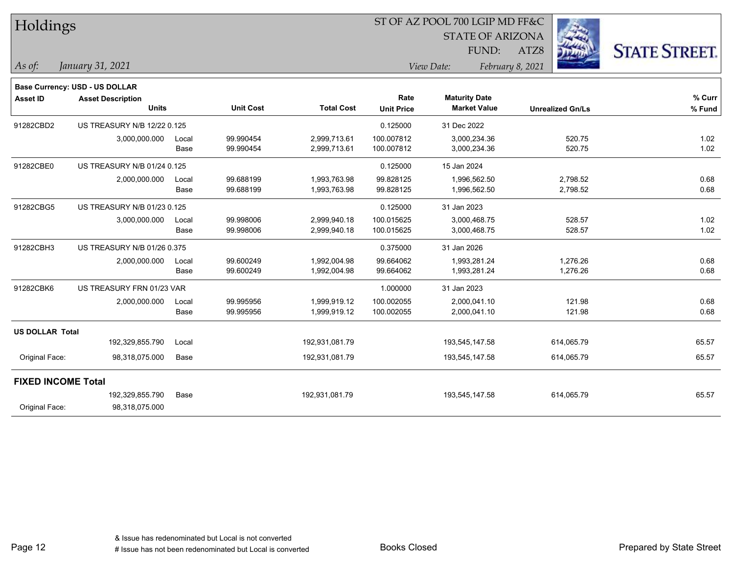| <b>STATE OF ARIZONA</b><br><b>STATE STREET.</b><br>FUND:<br>ATZ8<br>January 31, 2021<br>View Date:<br>February 8, 2021<br>Base Currency: USD - US DOLLAR<br>Rate<br><b>Maturity Date</b><br>% Curr<br><b>Asset ID</b><br><b>Asset Description</b><br><b>Units</b><br><b>Unit Cost</b><br><b>Total Cost</b><br><b>Market Value</b><br><b>Unit Price</b><br><b>Unrealized Gn/Ls</b><br>% Fund<br>US TREASURY N/B 12/22 0.125<br>0.125000<br>31 Dec 2022<br>99.990454<br>1.02<br>2,999,713.61<br>100.007812<br>520.75<br>3,000,000.000<br>3,000,234.36<br>Local<br>1.02<br>99.990454<br>2,999,713.61<br>100.007812<br>3,000,234.36<br>520.75<br>Base<br>US TREASURY N/B 01/24 0.125<br>0.125000<br>15 Jan 2024<br>99.688199<br>0.68<br>1,993,763.98<br>99.828125<br>1,996,562.50<br>2,798.52<br>2,000,000.000<br>Local<br>99.688199<br>0.68<br>1,993,763.98<br>99.828125<br>1,996,562.50<br>2,798.52<br>Base<br>US TREASURY N/B 01/23 0.125<br>0.125000<br>31 Jan 2023<br>99.998006<br>1.02<br>2,999,940.18<br>100.015625<br>528.57<br>3,000,000.000<br>3,000,468.75<br>Local<br>1.02<br>99.998006<br>2,999,940.18<br>100.015625<br>3,000,468.75<br>528.57<br>Base<br>US TREASURY N/B 01/26 0.375<br>0.375000<br>31 Jan 2026<br>99.600249<br>0.68<br>2,000,000.000<br>1,992,004.98<br>99.664062<br>1,993,281.24<br>1,276.26<br>Local<br>0.68<br>99.600249<br>1,992,004.98<br>99.664062<br>1,993,281.24<br>1,276.26<br>Base<br>US TREASURY FRN 01/23 VAR<br>1.000000<br>31 Jan 2023<br>0.68<br>99.995956<br>1,999,919.12<br>100.002055<br>2,000,041.10<br>121.98<br>2,000,000.000<br>Local<br>99.995956<br>121.98<br>0.68<br>1,999,919.12<br>100.002055<br>2,000,041.10<br>Base<br><b>US DOLLAR Total</b><br>192,329,855.790<br>192,931,081.79<br>193,545,147.58<br>614,065.79<br>65.57<br>Local<br>65.57<br>Original Face:<br>98,318,075.000<br>192,931,081.79<br>193,545,147.58<br>614,065.79<br>Base<br><b>FIXED INCOME Total</b><br>192,329,855.790<br>Base<br>192,931,081.79<br>193,545,147.58<br>614,065.79<br>65.57 | Holdings  |  |  | ST OF AZ POOL 700 LGIP MD FF&C |  |  |  |  |  |
|------------------------------------------------------------------------------------------------------------------------------------------------------------------------------------------------------------------------------------------------------------------------------------------------------------------------------------------------------------------------------------------------------------------------------------------------------------------------------------------------------------------------------------------------------------------------------------------------------------------------------------------------------------------------------------------------------------------------------------------------------------------------------------------------------------------------------------------------------------------------------------------------------------------------------------------------------------------------------------------------------------------------------------------------------------------------------------------------------------------------------------------------------------------------------------------------------------------------------------------------------------------------------------------------------------------------------------------------------------------------------------------------------------------------------------------------------------------------------------------------------------------------------------------------------------------------------------------------------------------------------------------------------------------------------------------------------------------------------------------------------------------------------------------------------------------------------------------------------------------------------------------------------------------------------------------------------------------------------------------------------------------------|-----------|--|--|--------------------------------|--|--|--|--|--|
|                                                                                                                                                                                                                                                                                                                                                                                                                                                                                                                                                                                                                                                                                                                                                                                                                                                                                                                                                                                                                                                                                                                                                                                                                                                                                                                                                                                                                                                                                                                                                                                                                                                                                                                                                                                                                                                                                                                                                                                                                        |           |  |  |                                |  |  |  |  |  |
|                                                                                                                                                                                                                                                                                                                                                                                                                                                                                                                                                                                                                                                                                                                                                                                                                                                                                                                                                                                                                                                                                                                                                                                                                                                                                                                                                                                                                                                                                                                                                                                                                                                                                                                                                                                                                                                                                                                                                                                                                        |           |  |  |                                |  |  |  |  |  |
|                                                                                                                                                                                                                                                                                                                                                                                                                                                                                                                                                                                                                                                                                                                                                                                                                                                                                                                                                                                                                                                                                                                                                                                                                                                                                                                                                                                                                                                                                                                                                                                                                                                                                                                                                                                                                                                                                                                                                                                                                        | As of:    |  |  |                                |  |  |  |  |  |
|                                                                                                                                                                                                                                                                                                                                                                                                                                                                                                                                                                                                                                                                                                                                                                                                                                                                                                                                                                                                                                                                                                                                                                                                                                                                                                                                                                                                                                                                                                                                                                                                                                                                                                                                                                                                                                                                                                                                                                                                                        |           |  |  |                                |  |  |  |  |  |
|                                                                                                                                                                                                                                                                                                                                                                                                                                                                                                                                                                                                                                                                                                                                                                                                                                                                                                                                                                                                                                                                                                                                                                                                                                                                                                                                                                                                                                                                                                                                                                                                                                                                                                                                                                                                                                                                                                                                                                                                                        |           |  |  |                                |  |  |  |  |  |
|                                                                                                                                                                                                                                                                                                                                                                                                                                                                                                                                                                                                                                                                                                                                                                                                                                                                                                                                                                                                                                                                                                                                                                                                                                                                                                                                                                                                                                                                                                                                                                                                                                                                                                                                                                                                                                                                                                                                                                                                                        |           |  |  |                                |  |  |  |  |  |
|                                                                                                                                                                                                                                                                                                                                                                                                                                                                                                                                                                                                                                                                                                                                                                                                                                                                                                                                                                                                                                                                                                                                                                                                                                                                                                                                                                                                                                                                                                                                                                                                                                                                                                                                                                                                                                                                                                                                                                                                                        | 91282CBD2 |  |  |                                |  |  |  |  |  |
|                                                                                                                                                                                                                                                                                                                                                                                                                                                                                                                                                                                                                                                                                                                                                                                                                                                                                                                                                                                                                                                                                                                                                                                                                                                                                                                                                                                                                                                                                                                                                                                                                                                                                                                                                                                                                                                                                                                                                                                                                        |           |  |  |                                |  |  |  |  |  |
|                                                                                                                                                                                                                                                                                                                                                                                                                                                                                                                                                                                                                                                                                                                                                                                                                                                                                                                                                                                                                                                                                                                                                                                                                                                                                                                                                                                                                                                                                                                                                                                                                                                                                                                                                                                                                                                                                                                                                                                                                        |           |  |  |                                |  |  |  |  |  |
|                                                                                                                                                                                                                                                                                                                                                                                                                                                                                                                                                                                                                                                                                                                                                                                                                                                                                                                                                                                                                                                                                                                                                                                                                                                                                                                                                                                                                                                                                                                                                                                                                                                                                                                                                                                                                                                                                                                                                                                                                        | 91282CBE0 |  |  |                                |  |  |  |  |  |
|                                                                                                                                                                                                                                                                                                                                                                                                                                                                                                                                                                                                                                                                                                                                                                                                                                                                                                                                                                                                                                                                                                                                                                                                                                                                                                                                                                                                                                                                                                                                                                                                                                                                                                                                                                                                                                                                                                                                                                                                                        |           |  |  |                                |  |  |  |  |  |
|                                                                                                                                                                                                                                                                                                                                                                                                                                                                                                                                                                                                                                                                                                                                                                                                                                                                                                                                                                                                                                                                                                                                                                                                                                                                                                                                                                                                                                                                                                                                                                                                                                                                                                                                                                                                                                                                                                                                                                                                                        |           |  |  |                                |  |  |  |  |  |
|                                                                                                                                                                                                                                                                                                                                                                                                                                                                                                                                                                                                                                                                                                                                                                                                                                                                                                                                                                                                                                                                                                                                                                                                                                                                                                                                                                                                                                                                                                                                                                                                                                                                                                                                                                                                                                                                                                                                                                                                                        | 91282CBG5 |  |  |                                |  |  |  |  |  |
|                                                                                                                                                                                                                                                                                                                                                                                                                                                                                                                                                                                                                                                                                                                                                                                                                                                                                                                                                                                                                                                                                                                                                                                                                                                                                                                                                                                                                                                                                                                                                                                                                                                                                                                                                                                                                                                                                                                                                                                                                        |           |  |  |                                |  |  |  |  |  |
|                                                                                                                                                                                                                                                                                                                                                                                                                                                                                                                                                                                                                                                                                                                                                                                                                                                                                                                                                                                                                                                                                                                                                                                                                                                                                                                                                                                                                                                                                                                                                                                                                                                                                                                                                                                                                                                                                                                                                                                                                        |           |  |  |                                |  |  |  |  |  |
|                                                                                                                                                                                                                                                                                                                                                                                                                                                                                                                                                                                                                                                                                                                                                                                                                                                                                                                                                                                                                                                                                                                                                                                                                                                                                                                                                                                                                                                                                                                                                                                                                                                                                                                                                                                                                                                                                                                                                                                                                        | 91282CBH3 |  |  |                                |  |  |  |  |  |
|                                                                                                                                                                                                                                                                                                                                                                                                                                                                                                                                                                                                                                                                                                                                                                                                                                                                                                                                                                                                                                                                                                                                                                                                                                                                                                                                                                                                                                                                                                                                                                                                                                                                                                                                                                                                                                                                                                                                                                                                                        |           |  |  |                                |  |  |  |  |  |
|                                                                                                                                                                                                                                                                                                                                                                                                                                                                                                                                                                                                                                                                                                                                                                                                                                                                                                                                                                                                                                                                                                                                                                                                                                                                                                                                                                                                                                                                                                                                                                                                                                                                                                                                                                                                                                                                                                                                                                                                                        |           |  |  |                                |  |  |  |  |  |
|                                                                                                                                                                                                                                                                                                                                                                                                                                                                                                                                                                                                                                                                                                                                                                                                                                                                                                                                                                                                                                                                                                                                                                                                                                                                                                                                                                                                                                                                                                                                                                                                                                                                                                                                                                                                                                                                                                                                                                                                                        | 91282CBK6 |  |  |                                |  |  |  |  |  |
|                                                                                                                                                                                                                                                                                                                                                                                                                                                                                                                                                                                                                                                                                                                                                                                                                                                                                                                                                                                                                                                                                                                                                                                                                                                                                                                                                                                                                                                                                                                                                                                                                                                                                                                                                                                                                                                                                                                                                                                                                        |           |  |  |                                |  |  |  |  |  |
|                                                                                                                                                                                                                                                                                                                                                                                                                                                                                                                                                                                                                                                                                                                                                                                                                                                                                                                                                                                                                                                                                                                                                                                                                                                                                                                                                                                                                                                                                                                                                                                                                                                                                                                                                                                                                                                                                                                                                                                                                        |           |  |  |                                |  |  |  |  |  |
|                                                                                                                                                                                                                                                                                                                                                                                                                                                                                                                                                                                                                                                                                                                                                                                                                                                                                                                                                                                                                                                                                                                                                                                                                                                                                                                                                                                                                                                                                                                                                                                                                                                                                                                                                                                                                                                                                                                                                                                                                        |           |  |  |                                |  |  |  |  |  |
|                                                                                                                                                                                                                                                                                                                                                                                                                                                                                                                                                                                                                                                                                                                                                                                                                                                                                                                                                                                                                                                                                                                                                                                                                                                                                                                                                                                                                                                                                                                                                                                                                                                                                                                                                                                                                                                                                                                                                                                                                        |           |  |  |                                |  |  |  |  |  |
|                                                                                                                                                                                                                                                                                                                                                                                                                                                                                                                                                                                                                                                                                                                                                                                                                                                                                                                                                                                                                                                                                                                                                                                                                                                                                                                                                                                                                                                                                                                                                                                                                                                                                                                                                                                                                                                                                                                                                                                                                        |           |  |  |                                |  |  |  |  |  |
|                                                                                                                                                                                                                                                                                                                                                                                                                                                                                                                                                                                                                                                                                                                                                                                                                                                                                                                                                                                                                                                                                                                                                                                                                                                                                                                                                                                                                                                                                                                                                                                                                                                                                                                                                                                                                                                                                                                                                                                                                        |           |  |  |                                |  |  |  |  |  |
|                                                                                                                                                                                                                                                                                                                                                                                                                                                                                                                                                                                                                                                                                                                                                                                                                                                                                                                                                                                                                                                                                                                                                                                                                                                                                                                                                                                                                                                                                                                                                                                                                                                                                                                                                                                                                                                                                                                                                                                                                        |           |  |  |                                |  |  |  |  |  |
| Original Face:<br>98,318,075.000                                                                                                                                                                                                                                                                                                                                                                                                                                                                                                                                                                                                                                                                                                                                                                                                                                                                                                                                                                                                                                                                                                                                                                                                                                                                                                                                                                                                                                                                                                                                                                                                                                                                                                                                                                                                                                                                                                                                                                                       |           |  |  |                                |  |  |  |  |  |

Page 12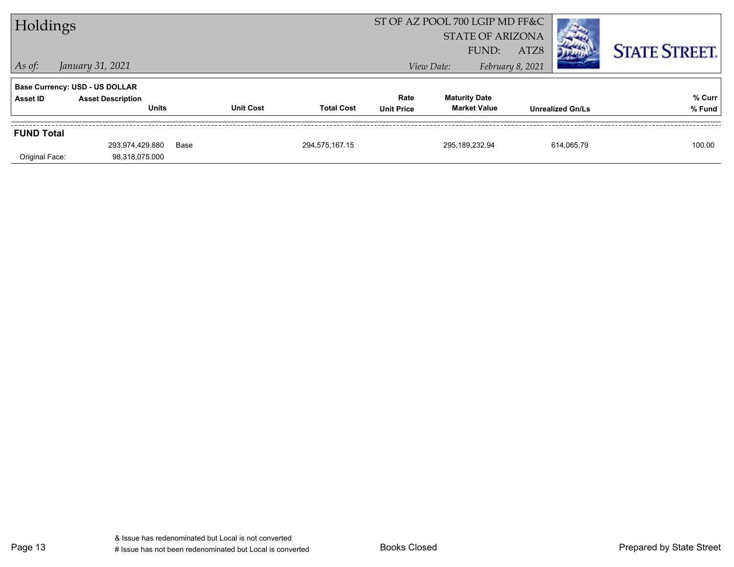| Holdings          |                                       |      | ST OF AZ POOL 700 LGIP MD FF&C |                   |                   |            |                         |                  |                         |                      |
|-------------------|---------------------------------------|------|--------------------------------|-------------------|-------------------|------------|-------------------------|------------------|-------------------------|----------------------|
|                   |                                       |      |                                |                   |                   |            | <b>STATE OF ARIZONA</b> |                  |                         |                      |
|                   |                                       |      |                                |                   |                   |            | FUND:                   | ATZ8             |                         | <b>STATE STREET.</b> |
| $ $ As of:        | January 31, 2021                      |      |                                |                   |                   | View Date: |                         | February 8, 2021 |                         |                      |
|                   | <b>Base Currency: USD - US DOLLAR</b> |      |                                |                   |                   |            |                         |                  |                         |                      |
| Asset ID          | <b>Asset Description</b>              |      |                                |                   | Rate              |            | <b>Maturity Date</b>    |                  |                         | % Curr               |
|                   | <b>Units</b>                          |      | <b>Unit Cost</b>               | <b>Total Cost</b> | <b>Unit Price</b> |            | <b>Market Value</b>     |                  | <b>Unrealized Gn/Ls</b> | % Fund               |
| <b>FUND Total</b> |                                       |      |                                |                   |                   |            |                         |                  |                         |                      |
|                   | 293,974,429.880                       | Base |                                | 294,575,167.15    |                   |            | 295,189,232.94          |                  | 614,065.79              | 100.00               |
| Original Face:    | 98,318,075.000                        |      |                                |                   |                   |            |                         |                  |                         |                      |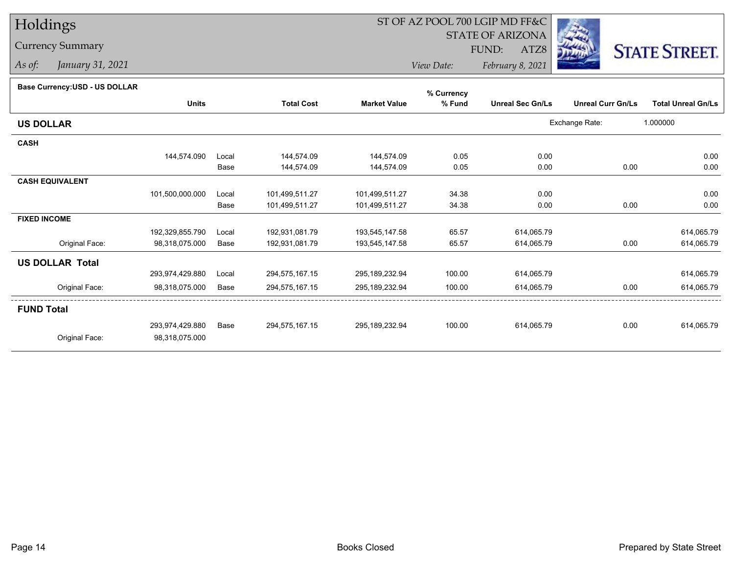## Currency Summary

*As of: January 31, 2021*

## ST OF AZ POOL 700 LGIP MD FF&C

STATE OF ARIZONA

ATZ8



*View Date: February 8, 2021*FUND:

#### **Base Currency:USD - US DOLLAR**

|                        |                 |       |                   |                     | % Currency |                         |                          |                           |
|------------------------|-----------------|-------|-------------------|---------------------|------------|-------------------------|--------------------------|---------------------------|
|                        | <b>Units</b>    |       | <b>Total Cost</b> | <b>Market Value</b> | % Fund     | <b>Unreal Sec Gn/Ls</b> | <b>Unreal Curr Gn/Ls</b> | <b>Total Unreal Gn/Ls</b> |
| <b>US DOLLAR</b>       |                 |       |                   |                     |            |                         | Exchange Rate:           | 1.000000                  |
| <b>CASH</b>            |                 |       |                   |                     |            |                         |                          |                           |
|                        | 144,574.090     | Local | 144,574.09        | 144,574.09          | 0.05       | 0.00                    |                          | 0.00                      |
|                        |                 | Base  | 144,574.09        | 144,574.09          | 0.05       | 0.00                    | 0.00                     | 0.00                      |
| <b>CASH EQUIVALENT</b> |                 |       |                   |                     |            |                         |                          |                           |
|                        | 101,500,000.000 | Local | 101,499,511.27    | 101,499,511.27      | 34.38      | 0.00                    |                          | 0.00                      |
|                        |                 | Base  | 101,499,511.27    | 101,499,511.27      | 34.38      | 0.00                    | 0.00                     | 0.00                      |
| <b>FIXED INCOME</b>    |                 |       |                   |                     |            |                         |                          |                           |
|                        | 192,329,855.790 | Local | 192,931,081.79    | 193,545,147.58      | 65.57      | 614,065.79              |                          | 614,065.79                |
| Original Face:         | 98,318,075.000  | Base  | 192,931,081.79    | 193,545,147.58      | 65.57      | 614,065.79              | 0.00                     | 614,065.79                |
| <b>US DOLLAR Total</b> |                 |       |                   |                     |            |                         |                          |                           |
|                        | 293,974,429.880 | Local | 294,575,167.15    | 295,189,232.94      | 100.00     | 614,065.79              |                          | 614,065.79                |
| Original Face:         | 98,318,075.000  | Base  | 294,575,167.15    | 295,189,232.94      | 100.00     | 614,065.79              | 0.00                     | 614,065.79                |
| <b>FUND Total</b>      |                 |       |                   |                     |            |                         |                          |                           |
|                        | 293,974,429.880 | Base  | 294,575,167.15    | 295,189,232.94      | 100.00     | 614,065.79              | 0.00                     | 614,065.79                |
| Original Face:         | 98,318,075.000  |       |                   |                     |            |                         |                          |                           |
|                        |                 |       |                   |                     |            |                         |                          |                           |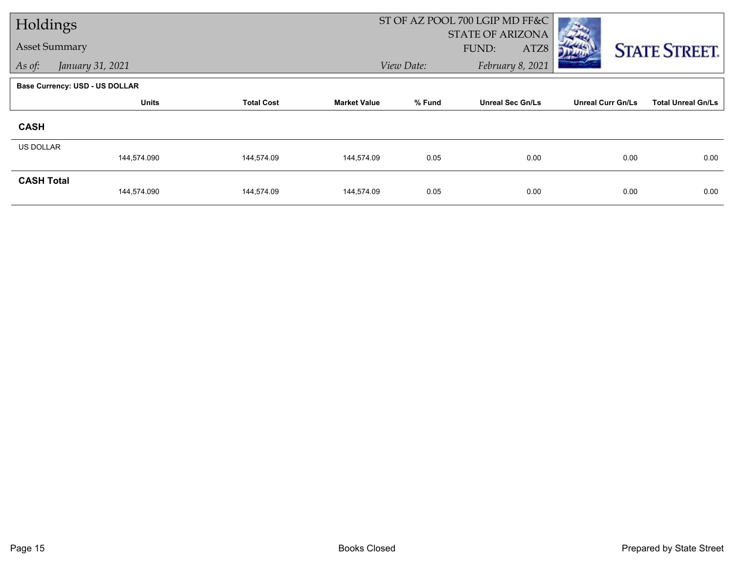| Holdings             |                                       |                   |                     |            | ST OF AZ POOL 700 LGIP MD FF&C |                          |                           |
|----------------------|---------------------------------------|-------------------|---------------------|------------|--------------------------------|--------------------------|---------------------------|
|                      |                                       |                   |                     |            | <b>STATE OF ARIZONA</b>        |                          |                           |
| <b>Asset Summary</b> |                                       |                   |                     |            | ATZ8<br>FUND:                  |                          | <b>STATE STREET.</b>      |
| As of:               | January 31, 2021                      |                   |                     | View Date: | February 8, 2021               |                          |                           |
|                      | <b>Base Currency: USD - US DOLLAR</b> |                   |                     |            |                                |                          |                           |
|                      | <b>Units</b>                          | <b>Total Cost</b> | <b>Market Value</b> | % Fund     | <b>Unreal Sec Gn/Ls</b>        | <b>Unreal Curr Gn/Ls</b> | <b>Total Unreal Gn/Ls</b> |
| <b>CASH</b>          |                                       |                   |                     |            |                                |                          |                           |
| <b>US DOLLAR</b>     |                                       |                   |                     |            |                                |                          |                           |
|                      | 144,574.090                           | 144,574.09        | 144,574.09          | 0.05       | 0.00                           | 0.00                     | 0.00                      |
| <b>CASH Total</b>    |                                       |                   |                     |            |                                |                          |                           |
|                      | 144,574.090                           | 144,574.09        | 144,574.09          | 0.05       | 0.00                           | 0.00                     | 0.00                      |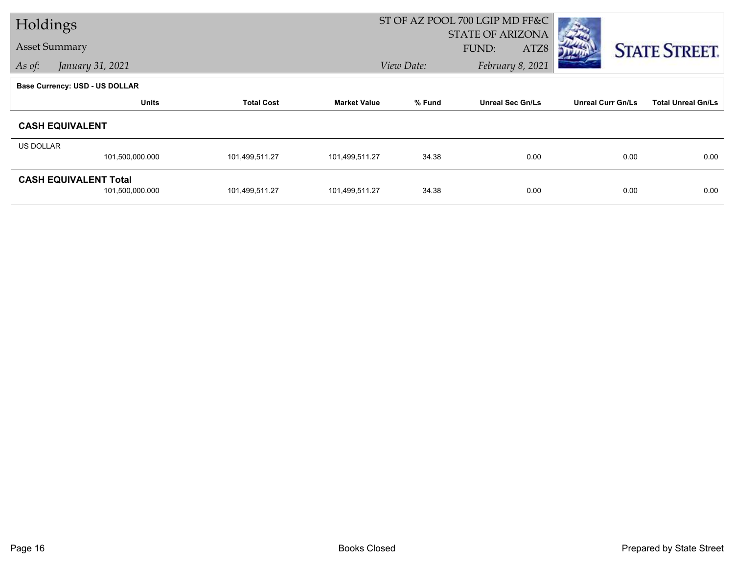| Holdings         |                                       |                   |                     | ST OF AZ POOL 700 LGIP MD FF&C |                         |                          |                           |
|------------------|---------------------------------------|-------------------|---------------------|--------------------------------|-------------------------|--------------------------|---------------------------|
|                  |                                       |                   |                     |                                | <b>STATE OF ARIZONA</b> |                          |                           |
|                  | <b>Asset Summary</b>                  |                   |                     |                                | FUND:<br>ATZ8           |                          | <b>STATE STREET.</b>      |
| As of:           | January 31, 2021                      |                   |                     | View Date:                     | February 8, 2021        |                          |                           |
|                  | <b>Base Currency: USD - US DOLLAR</b> |                   |                     |                                |                         |                          |                           |
|                  | <b>Units</b>                          | <b>Total Cost</b> | <b>Market Value</b> | % Fund                         | <b>Unreal Sec Gn/Ls</b> | <b>Unreal Curr Gn/Ls</b> | <b>Total Unreal Gn/Ls</b> |
|                  | <b>CASH EQUIVALENT</b>                |                   |                     |                                |                         |                          |                           |
| <b>US DOLLAR</b> |                                       |                   |                     |                                |                         |                          |                           |
|                  | 101,500,000.000                       | 101,499,511.27    | 101,499,511.27      | 34.38                          | 0.00                    | 0.00                     | 0.00                      |
|                  | <b>CASH EQUIVALENT Total</b>          |                   |                     |                                |                         |                          |                           |
|                  | 101,500,000.000                       | 101,499,511.27    | 101,499,511.27      | 34.38                          | 0.00                    | 0.00                     | 0.00                      |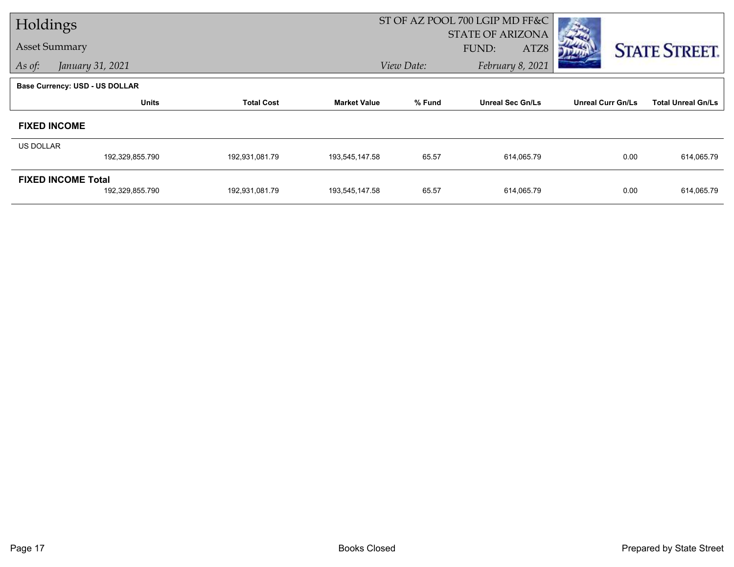| Holdings             |                                       |                   |                     |            | ST OF AZ POOL 700 LGIP MD FF&C |                          |                           |
|----------------------|---------------------------------------|-------------------|---------------------|------------|--------------------------------|--------------------------|---------------------------|
|                      |                                       |                   |                     |            | <b>STATE OF ARIZONA</b>        |                          |                           |
| <b>Asset Summary</b> |                                       |                   |                     |            | FUND:<br>ATZ8                  |                          | <b>STATE STREET.</b>      |
| As of:               | January 31, 2021                      |                   |                     | View Date: | February 8, 2021               |                          |                           |
|                      | <b>Base Currency: USD - US DOLLAR</b> |                   |                     |            |                                |                          |                           |
|                      | <b>Units</b>                          | <b>Total Cost</b> | <b>Market Value</b> | % Fund     | <b>Unreal Sec Gn/Ls</b>        | <b>Unreal Curr Gn/Ls</b> | <b>Total Unreal Gn/Ls</b> |
|                      | <b>FIXED INCOME</b>                   |                   |                     |            |                                |                          |                           |
| <b>US DOLLAR</b>     |                                       |                   |                     |            |                                |                          |                           |
|                      | 192,329,855.790                       | 192,931,081.79    | 193,545,147.58      | 65.57      | 614,065.79                     | 0.00                     | 614,065.79                |
|                      | <b>FIXED INCOME Total</b>             |                   |                     |            |                                |                          |                           |
|                      | 192,329,855.790                       | 192,931,081.79    | 193,545,147.58      | 65.57      | 614,065.79                     | 0.00                     | 614,065.79                |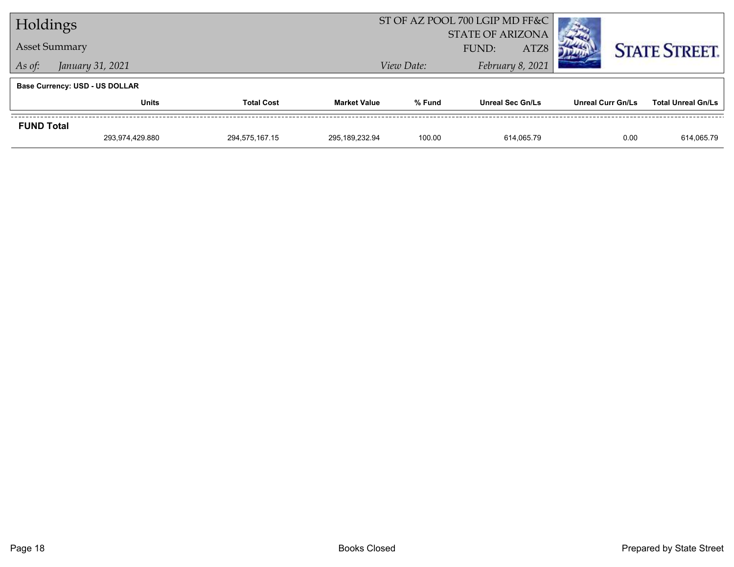| Holdings             |                                       |                   |                     |            | ST OF AZ POOL 700 LGIP MD FF&C |                   |                           |
|----------------------|---------------------------------------|-------------------|---------------------|------------|--------------------------------|-------------------|---------------------------|
|                      |                                       |                   |                     |            | <b>STATE OF ARIZONA</b>        |                   |                           |
| <b>Asset Summary</b> |                                       |                   |                     |            | ATZ8<br>FUND:                  |                   | <b>STATE STREET.</b>      |
| As of:               | January 31, 2021                      |                   |                     | View Date: | February 8, 2021               |                   |                           |
|                      | <b>Base Currency: USD - US DOLLAR</b> |                   |                     |            |                                |                   |                           |
|                      | <b>Units</b>                          | <b>Total Cost</b> | <b>Market Value</b> | % Fund     | <b>Unreal Sec Gn/Ls</b>        | Unreal Curr Gn/Ls | <b>Total Unreal Gn/Ls</b> |
| <b>FUND Total</b>    |                                       |                   |                     |            |                                |                   |                           |
|                      | 293,974,429.880                       | 294,575,167.15    | 295,189,232.94      | 100.00     | 614.065.79                     | 0.00              | 614,065.79                |